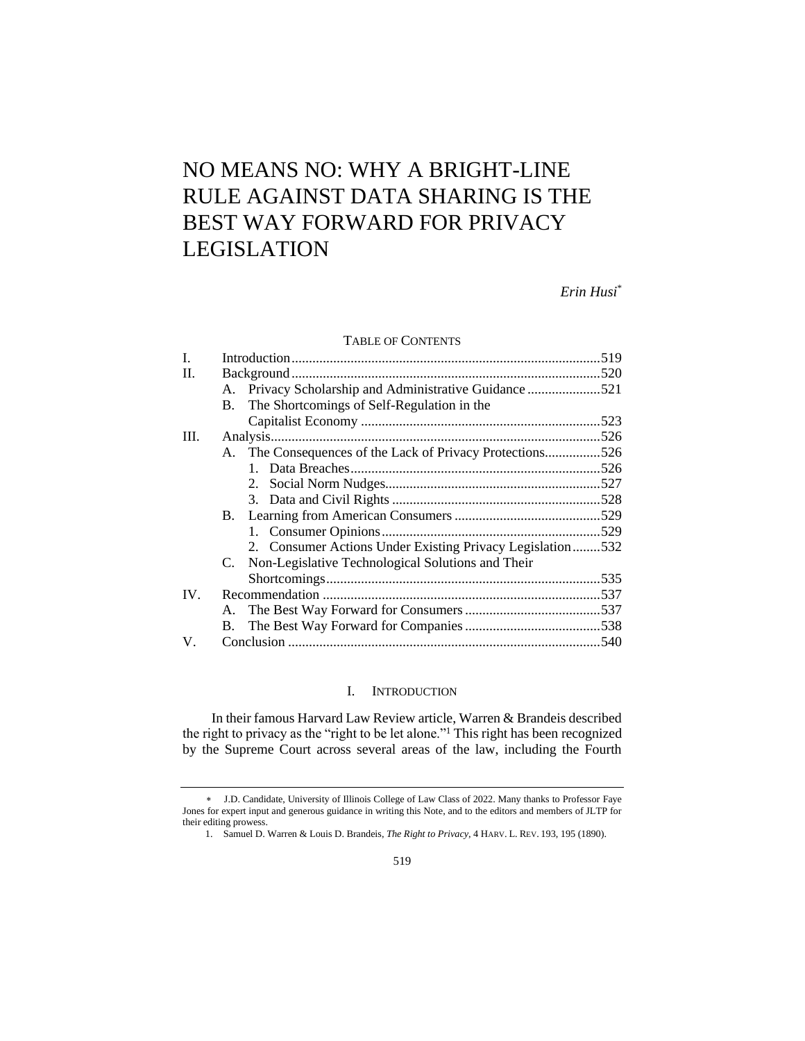# NO MEANS NO: WHY A BRIGHT-LINE RULE AGAINST DATA SHARING IS THE BEST WAY FORWARD FOR PRIVACY LEGISLATION

*Erin Husi*\*

# TABLE OF CONTENTS

| L.  |    |                                                           |  |
|-----|----|-----------------------------------------------------------|--|
| II. |    |                                                           |  |
|     | A. | Privacy Scholarship and Administrative Guidance 521       |  |
|     | В. | The Shortcomings of Self-Regulation in the                |  |
|     |    |                                                           |  |
| Ш.  |    |                                                           |  |
|     |    | A. The Consequences of the Lack of Privacy Protections526 |  |
|     |    |                                                           |  |
|     |    |                                                           |  |
|     |    |                                                           |  |
|     |    |                                                           |  |
|     |    |                                                           |  |
|     |    | 2. Consumer Actions Under Existing Privacy Legislation532 |  |
|     |    | C. Non-Legislative Technological Solutions and Their      |  |
|     |    |                                                           |  |
| IV. |    |                                                           |  |
|     |    |                                                           |  |
|     | В. |                                                           |  |
| V.  |    |                                                           |  |

# I. INTRODUCTION

In their famous Harvard Law Review article, Warren & Brandeis described the right to privacy as the "right to be let alone."<sup>1</sup> This right has been recognized by the Supreme Court across several areas of the law, including the Fourth

J.D. Candidate, University of Illinois College of Law Class of 2022. Many thanks to Professor Faye Jones for expert input and generous guidance in writing this Note, and to the editors and members of JLTP for their editing prowess.

<sup>1.</sup> Samuel D. Warren & Louis D. Brandeis, *The Right to Privacy*, 4 HARV. L. REV. 193, 195 (1890).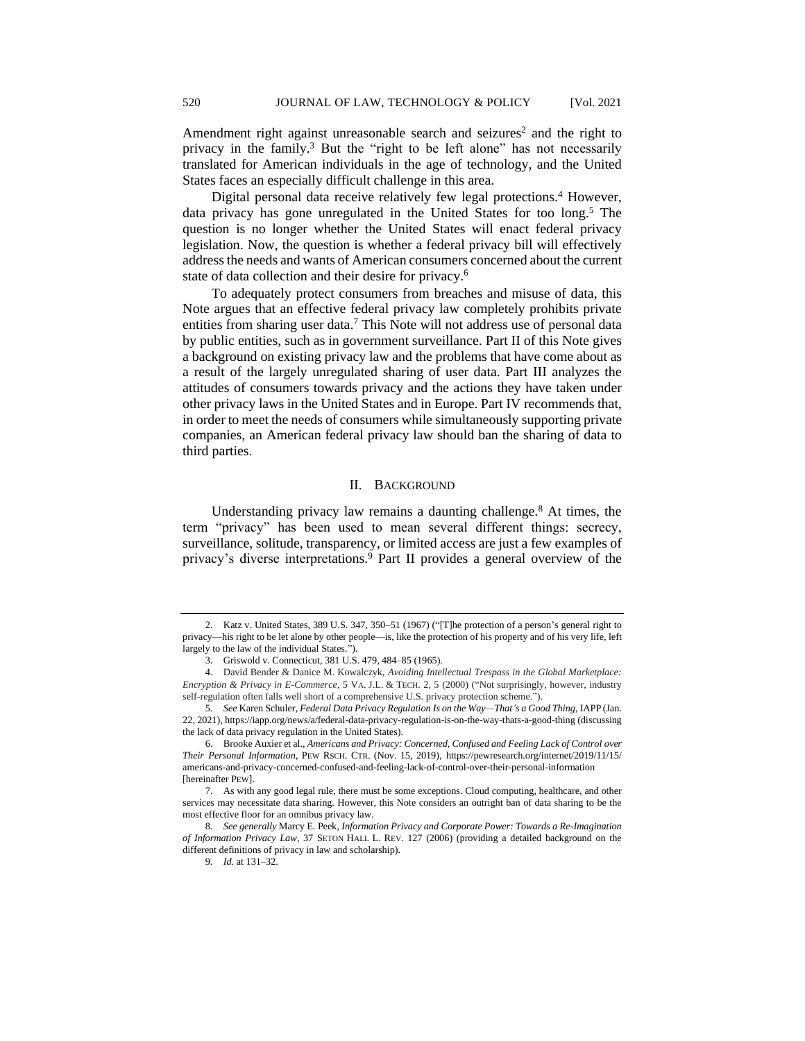Amendment right against unreasonable search and seizures<sup>2</sup> and the right to privacy in the family.<sup>3</sup> But the "right to be left alone" has not necessarily translated for American individuals in the age of technology, and the United States faces an especially difficult challenge in this area.

Digital personal data receive relatively few legal protections.<sup>4</sup> However, data privacy has gone unregulated in the United States for too long.<sup>5</sup> The question is no longer whether the United States will enact federal privacy legislation. Now, the question is whether a federal privacy bill will effectively address the needs and wants of American consumers concerned about the current state of data collection and their desire for privacy.<sup>6</sup>

To adequately protect consumers from breaches and misuse of data, this Note argues that an effective federal privacy law completely prohibits private entities from sharing user data.<sup>7</sup> This Note will not address use of personal data by public entities, such as in government surveillance. Part II of this Note gives a background on existing privacy law and the problems that have come about as a result of the largely unregulated sharing of user data. Part III analyzes the attitudes of consumers towards privacy and the actions they have taken under other privacy laws in the United States and in Europe. Part IV recommends that, in order to meet the needs of consumers while simultaneously supporting private companies, an American federal privacy law should ban the sharing of data to third parties.

## II. BACKGROUND

Understanding privacy law remains a daunting challenge.<sup>8</sup> At times, the term "privacy" has been used to mean several different things: secrecy, surveillance, solitude, transparency, or limited access are just a few examples of privacy's diverse interpretations.<sup>9</sup> Part II provides a general overview of the

<sup>2.</sup> Katz v. United States, 389 U.S. 347, 350–51 (1967) ("[T]he protection of a person's general right to privacy—his right to be let alone by other people—is, like the protection of his property and of his very life, left largely to the law of the individual States.").

<sup>3.</sup> Griswold v. Connecticut, 381 U.S. 479, 484–85 (1965).

<sup>4.</sup> David Bender & Danice M. Kowalczyk, *Avoiding Intellectual Trespass in the Global Marketplace: Encryption & Privacy in E-Commerce*, 5 VA. J.L. & TECH. 2, 5 (2000) ("Not surprisingly, however, industry self-regulation often falls well short of a comprehensive U.S. privacy protection scheme.").

<sup>5</sup>*. See* Karen Schuler*, Federal Data Privacy Regulation Is on the Way—That's a Good Thing*, IAPP (Jan. 22, 2021), https://iapp.org/news/a/federal-data-privacy-regulation-is-on-the-way-thats-a-good-thing (discussing the lack of data privacy regulation in the United States).

<sup>6.</sup> Brooke Auxier et al., *Americans and Privacy: Concerned, Confused and Feeling Lack of Control over Their Personal Information*, PEW RSCH. CTR. (Nov. 15, 2019), https://pewresearch.org/internet/2019/11/15/ americans-and-privacy-concerned-confused-and-feeling-lack-of-control-over-their-personal-information [hereinafter PEW].

<sup>7.</sup> As with any good legal rule, there must be some exceptions. Cloud computing, healthcare, and other services may necessitate data sharing. However, this Note considers an outright ban of data sharing to be the most effective floor for an omnibus privacy law.

<sup>8</sup>*. See generally* Marcy E. Peek, *Information Privacy and Corporate Power: Towards a Re-Imagination of Information Privacy Law*, 37 SETON HALL L. REV. 127 (2006) (providing a detailed background on the different definitions of privacy in law and scholarship).

<sup>9</sup>*. Id.* at 131–32.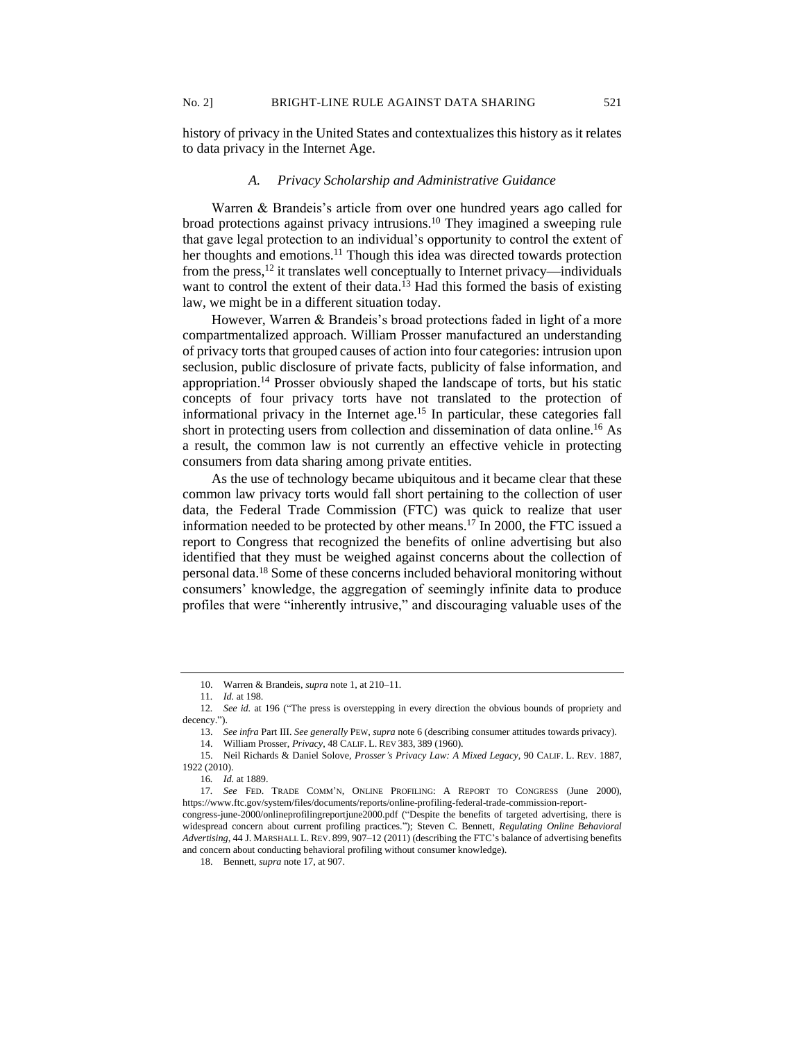history of privacy in the United States and contextualizes this history as it relates to data privacy in the Internet Age.

# *A. Privacy Scholarship and Administrative Guidance*

Warren & Brandeis's article from over one hundred years ago called for broad protections against privacy intrusions.<sup>10</sup> They imagined a sweeping rule that gave legal protection to an individual's opportunity to control the extent of her thoughts and emotions.<sup>11</sup> Though this idea was directed towards protection from the press,<sup>12</sup> it translates well conceptually to Internet privacy—individuals want to control the extent of their data.<sup>13</sup> Had this formed the basis of existing law, we might be in a different situation today.

However, Warren & Brandeis's broad protections faded in light of a more compartmentalized approach. William Prosser manufactured an understanding of privacy torts that grouped causes of action into four categories: intrusion upon seclusion, public disclosure of private facts, publicity of false information, and appropriation.<sup>14</sup> Prosser obviously shaped the landscape of torts, but his static concepts of four privacy torts have not translated to the protection of informational privacy in the Internet age.<sup>15</sup> In particular, these categories fall short in protecting users from collection and dissemination of data online.<sup>16</sup> As a result, the common law is not currently an effective vehicle in protecting consumers from data sharing among private entities.

As the use of technology became ubiquitous and it became clear that these common law privacy torts would fall short pertaining to the collection of user data, the Federal Trade Commission (FTC) was quick to realize that user information needed to be protected by other means. <sup>17</sup> In 2000, the FTC issued a report to Congress that recognized the benefits of online advertising but also identified that they must be weighed against concerns about the collection of personal data.<sup>18</sup> Some of these concerns included behavioral monitoring without consumers' knowledge, the aggregation of seemingly infinite data to produce profiles that were "inherently intrusive," and discouraging valuable uses of the

<sup>10.</sup> Warren & Brandeis, *supra* note 1, at 210–11.

<sup>11</sup>*. Id.* at 198.

<sup>12</sup>*. See id.* at 196 ("The press is overstepping in every direction the obvious bounds of propriety and decency.").

<sup>13.</sup> *See infra* Part III. *See generally* PEW, *supra* note 6 (describing consumer attitudes towards privacy).

<sup>14.</sup> William Prosser, *Privacy*, 48 CALIF. L. REV 383, 389 (1960).

<sup>15.</sup> Neil Richards & Daniel Solove, *Prosser's Privacy Law: A Mixed Legacy*, 90 CALIF. L. REV. 1887, 1922 (2010).

<sup>16</sup>*. Id.* at 1889.

<sup>17</sup>*. See* FED. TRADE COMM'N, ONLINE PROFILING: A REPORT TO CONGRESS (June 2000), https://www.ftc.gov/system/files/documents/reports/online-profiling-federal-trade-commission-report-

congress-june-2000/onlineprofilingreportjune2000.pdf ("Despite the benefits of targeted advertising, there is widespread concern about current profiling practices."); Steven C. Bennett, *Regulating Online Behavioral Advertising*, 44 J. MARSHALL L. REV. 899, 907–12 (2011) (describing the FTC's balance of advertising benefits and concern about conducting behavioral profiling without consumer knowledge).

<sup>18.</sup> Bennett, *supra* note 17, at 907.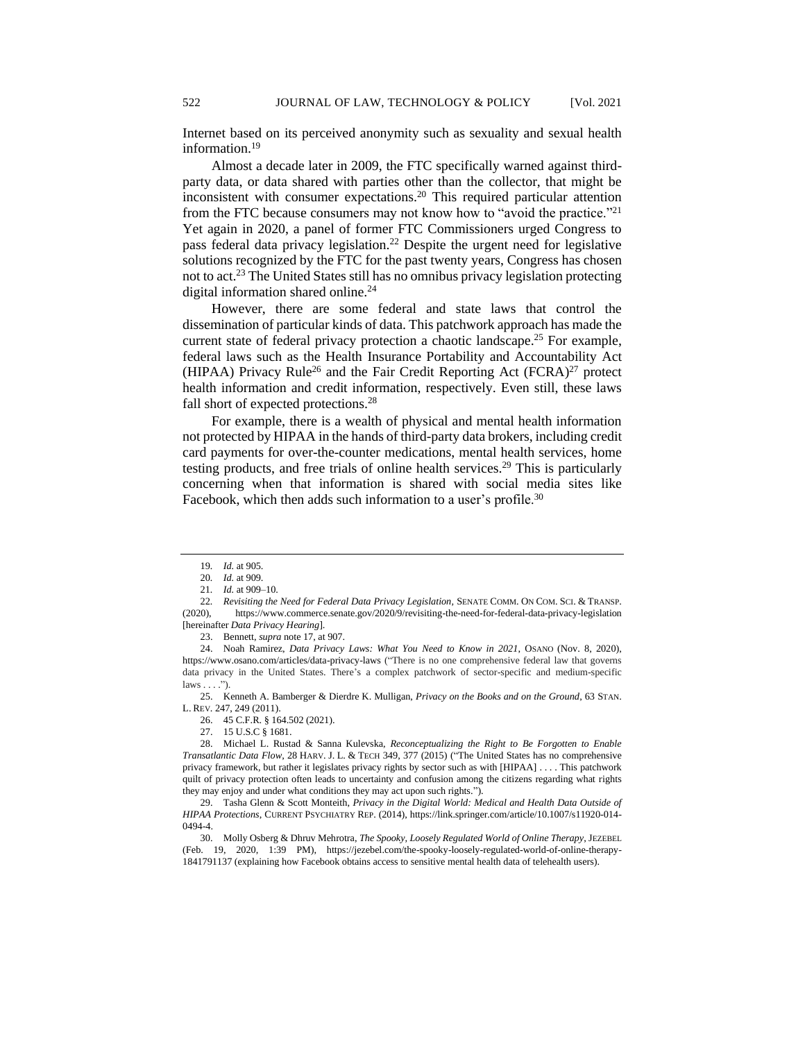Internet based on its perceived anonymity such as sexuality and sexual health information.<sup>19</sup>

Almost a decade later in 2009, the FTC specifically warned against thirdparty data, or data shared with parties other than the collector, that might be inconsistent with consumer expectations.<sup>20</sup> This required particular attention from the FTC because consumers may not know how to "avoid the practice."<sup>21</sup> Yet again in 2020, a panel of former FTC Commissioners urged Congress to pass federal data privacy legislation.<sup>22</sup> Despite the urgent need for legislative solutions recognized by the FTC for the past twenty years, Congress has chosen not to act.<sup>23</sup> The United States still has no omnibus privacy legislation protecting digital information shared online.<sup>24</sup>

However, there are some federal and state laws that control the dissemination of particular kinds of data. This patchwork approach has made the current state of federal privacy protection a chaotic landscape.<sup>25</sup> For example, federal laws such as the Health Insurance Portability and Accountability Act (HIPAA) Privacy Rule<sup>26</sup> and the Fair Credit Reporting Act (FCRA)<sup>27</sup> protect health information and credit information, respectively. Even still, these laws fall short of expected protections.<sup>28</sup>

For example, there is a wealth of physical and mental health information not protected by HIPAA in the hands of third-party data brokers, including credit card payments for over-the-counter medications, mental health services, home testing products, and free trials of online health services.<sup>29</sup> This is particularly concerning when that information is shared with social media sites like Facebook, which then adds such information to a user's profile.<sup>30</sup>

25. Kenneth A. Bamberger & Dierdre K. Mulligan, *Privacy on the Books and on the Ground*, 63 STAN. L. REV. 247, 249 (2011).

<sup>19</sup>*. Id.* at 905.

<sup>20</sup>*. Id.* at 909.

<sup>21</sup>*. Id.* at 909–10.

<sup>22</sup>*. Revisiting the Need for Federal Data Privacy Legislation,* SENATE COMM. ON COM. SCI. & TRANSP. (2020), https://www.commerce.senate.gov/2020/9/revisiting-the-need-for-federal-data-privacy-legislation [hereinafter *Data Privacy Hearing*].

<sup>23.</sup> Bennett, *supra* note 17, at 907.

<sup>24.</sup> Noah Ramirez, *Data Privacy Laws: What You Need to Know in 2021*, OSANO (Nov. 8, 2020), https://www.osano.com/articles/data-privacy-laws ("There is no one comprehensive federal law that governs data privacy in the United States. There's a complex patchwork of sector-specific and medium-specific  $laws \ldots$ .").

<sup>26.</sup> 45 C.F.R. § 164.502 (2021).

<sup>27.</sup> 15 U.S.C § 1681.

<sup>28.</sup> Michael L. Rustad & Sanna Kulevska, *Reconceptualizing the Right to Be Forgotten to Enable Transatlantic Data Flow*, 28 HARV. J. L. & TECH 349, 377 (2015) ("The United States has no comprehensive privacy framework, but rather it legislates privacy rights by sector such as with [HIPAA] . . . . This patchwork quilt of privacy protection often leads to uncertainty and confusion among the citizens regarding what rights they may enjoy and under what conditions they may act upon such rights.").

<sup>29.</sup> Tasha Glenn & Scott Monteith, *Privacy in the Digital World: Medical and Health Data Outside of HIPAA Protections*, CURRENT PSYCHIATRY REP. (2014), https://link.springer.com/article/10.1007/s11920-014- 0494-4.

<sup>30.</sup> Molly Osberg & Dhruv Mehrotra, *The Spooky, Loosely Regulated World of Online Therapy*, JEZEBEL (Feb. 19, 2020, 1:39 PM), https://jezebel.com/the-spooky-loosely-regulated-world-of-online-therapy-1841791137 (explaining how Facebook obtains access to sensitive mental health data of telehealth users).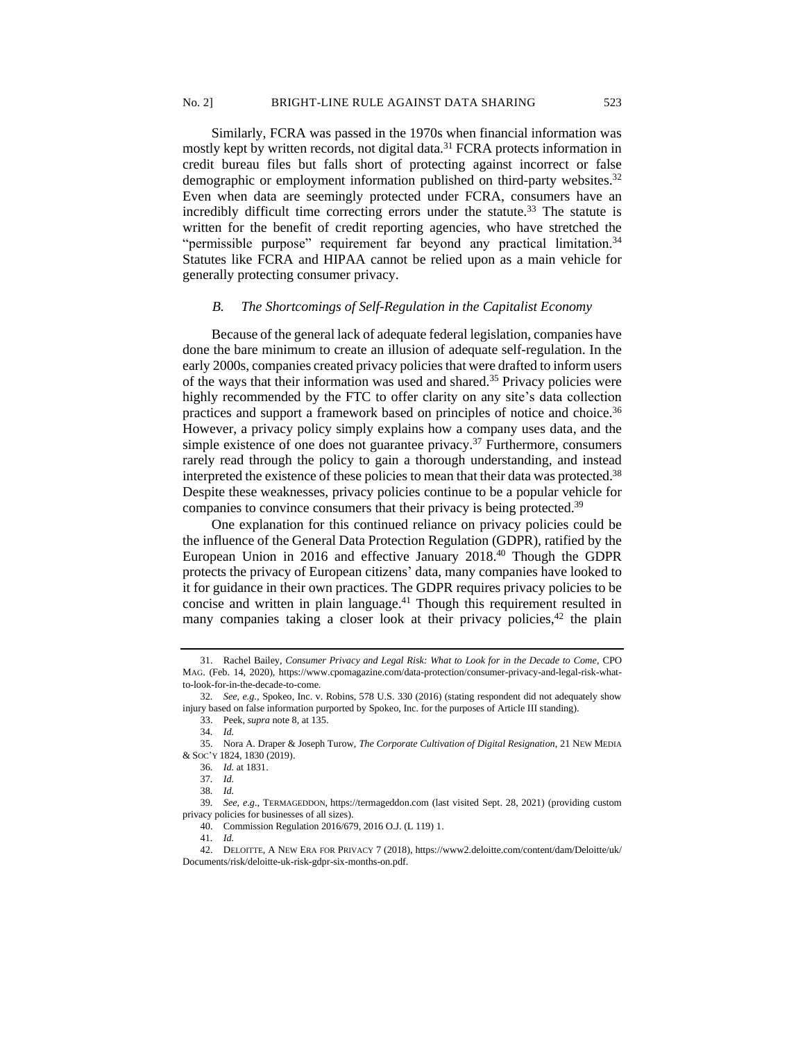Similarly, FCRA was passed in the 1970s when financial information was mostly kept by written records, not digital data.<sup>31</sup> FCRA protects information in credit bureau files but falls short of protecting against incorrect or false demographic or employment information published on third-party websites.<sup>32</sup> Even when data are seemingly protected under FCRA, consumers have an incredibly difficult time correcting errors under the statute.<sup>33</sup> The statute is written for the benefit of credit reporting agencies, who have stretched the "permissible purpose" requirement far beyond any practical limitation.<sup>34</sup> Statutes like FCRA and HIPAA cannot be relied upon as a main vehicle for generally protecting consumer privacy.

#### *B. The Shortcomings of Self-Regulation in the Capitalist Economy*

Because of the general lack of adequate federal legislation, companies have done the bare minimum to create an illusion of adequate self-regulation. In the early 2000s, companies created privacy policies that were drafted to inform users of the ways that their information was used and shared.<sup>35</sup> Privacy policies were highly recommended by the FTC to offer clarity on any site's data collection practices and support a framework based on principles of notice and choice.<sup>36</sup> However, a privacy policy simply explains how a company uses data, and the simple existence of one does not guarantee privacy.<sup>37</sup> Furthermore, consumers rarely read through the policy to gain a thorough understanding, and instead interpreted the existence of these policies to mean that their data was protected.<sup>38</sup> Despite these weaknesses, privacy policies continue to be a popular vehicle for companies to convince consumers that their privacy is being protected.<sup>39</sup>

One explanation for this continued reliance on privacy policies could be the influence of the General Data Protection Regulation (GDPR), ratified by the European Union in 2016 and effective January 2018.<sup>40</sup> Though the GDPR protects the privacy of European citizens' data, many companies have looked to it for guidance in their own practices. The GDPR requires privacy policies to be concise and written in plain language.<sup>41</sup> Though this requirement resulted in many companies taking a closer look at their privacy policies, $42$  the plain

41*. Id.*

<sup>31.</sup> Rachel Bailey, *Consumer Privacy and Legal Risk: What to Look for in the Decade to Come*, CPO MAG. (Feb. 14, 2020), https://www.cpomagazine.com/data-protection/consumer-privacy-and-legal-risk-whatto-look-for-in-the-decade-to-come.

<sup>32</sup>*. See, e.g.,* Spokeo, Inc. v. Robins, 578 U.S. 330 (2016) (stating respondent did not adequately show injury based on false information purported by Spokeo, Inc. for the purposes of Article III standing).

<sup>33.</sup> Peek, *supra* note 8, at 135.

<sup>34</sup>*. Id.*

<sup>35.</sup> Nora A. Draper & Joseph Turow, *The Corporate Cultivation of Digital Resignation*, 21 NEW MEDIA & SOC'Y 1824, 1830 (2019).

<sup>36</sup>*. Id.* at 1831.

<sup>37</sup>*. Id.*

<sup>38</sup>*. Id.*

<sup>39</sup>*. See, e.g.,* TERMAGEDDON, https://termageddon.com (last visited Sept. 28, 2021) (providing custom privacy policies for businesses of all sizes).

<sup>40.</sup> Commission Regulation 2016/679, 2016 O.J. (L 119) 1.

<sup>42.</sup> DELOITTE, A NEW ERA FOR PRIVACY 7 (2018), https://www2.deloitte.com/content/dam/Deloitte/uk/ Documents/risk/deloitte-uk-risk-gdpr-six-months-on.pdf.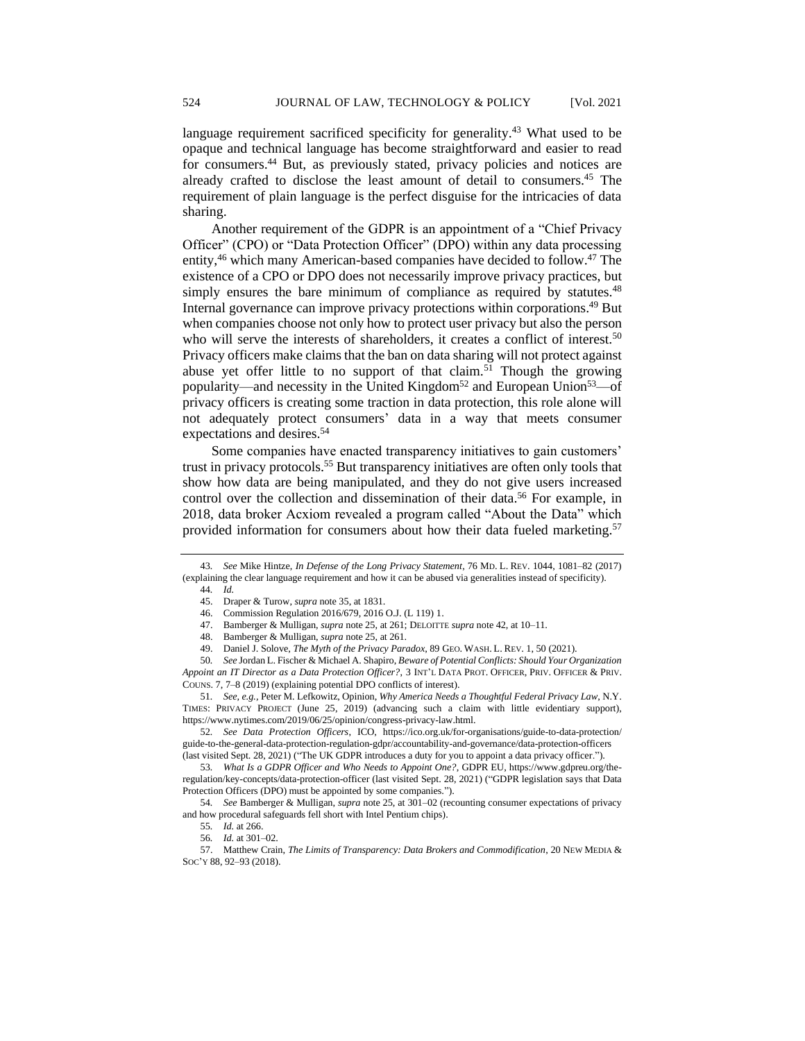language requirement sacrificed specificity for generality.<sup>43</sup> What used to be opaque and technical language has become straightforward and easier to read for consumers.<sup>44</sup> But, as previously stated, privacy policies and notices are already crafted to disclose the least amount of detail to consumers.<sup>45</sup> The requirement of plain language is the perfect disguise for the intricacies of data sharing.

Another requirement of the GDPR is an appointment of a "Chief Privacy Officer" (CPO) or "Data Protection Officer" (DPO) within any data processing entity,<sup>46</sup> which many American-based companies have decided to follow.<sup>47</sup> The existence of a CPO or DPO does not necessarily improve privacy practices, but simply ensures the bare minimum of compliance as required by statutes.<sup>48</sup> Internal governance can improve privacy protections within corporations.<sup>49</sup> But when companies choose not only how to protect user privacy but also the person who will serve the interests of shareholders, it creates a conflict of interest.<sup>50</sup> Privacy officers make claims that the ban on data sharing will not protect against abuse vet offer little to no support of that claim.<sup>51</sup> Though the growing popularity—and necessity in the United Kingdom<sup>52</sup> and European Union<sup>53</sup>—of privacy officers is creating some traction in data protection, this role alone will not adequately protect consumers' data in a way that meets consumer expectations and desires.<sup>54</sup>

Some companies have enacted transparency initiatives to gain customers' trust in privacy protocols.<sup>55</sup> But transparency initiatives are often only tools that show how data are being manipulated, and they do not give users increased control over the collection and dissemination of their data.<sup>56</sup> For example, in 2018, data broker Acxiom revealed a program called "About the Data" which provided information for consumers about how their data fueled marketing.<sup>57</sup>

50*. See* Jordan L. Fischer & Michael A. Shapiro, *Beware of Potential Conflicts: Should Your Organization Appoint an IT Director as a Data Protection Officer?*, 3 INT'L DATA PROT. OFFICER, PRIV. OFFICER & PRIV. COUNS. 7, 7–8 (2019) (explaining potential DPO conflicts of interest).

52*. See Data Protection Officers*, ICO, https://ico.org.uk/for-organisations/guide-to-data-protection/ guide-to-the-general-data-protection-regulation-gdpr/accountability-and-governance/data-protection-officers (last visited Sept. 28, 2021) ("The UK GDPR introduces a duty for you to appoint a data privacy officer.").

53*. What Is a GDPR Officer and Who Needs to Appoint One?*, GDPR EU, https://www.gdpreu.org/theregulation/key-concepts/data-protection-officer (last visited Sept. 28, 2021) ("GDPR legislation says that Data Protection Officers (DPO) must be appointed by some companies.").

54*. See* Bamberger & Mulligan, *supra* note 25, at 301–02 (recounting consumer expectations of privacy and how procedural safeguards fell short with Intel Pentium chips).

57. Matthew Crain, *The Limits of Transparency: Data Brokers and Commodification*, 20 NEW MEDIA & SOC'Y 88, 92–93 (2018).

<sup>43</sup>*. See* Mike Hintze, *In Defense of the Long Privacy Statement*, 76 MD. L. REV. 1044, 1081–82 (2017) (explaining the clear language requirement and how it can be abused via generalities instead of specificity).

<sup>44</sup>*. Id.*

<sup>45.</sup> Draper & Turow, *supra* note 35, at 1831.

<sup>46.</sup> Commission Regulation 2016/679, 2016 O.J. (L 119) 1.

<sup>47.</sup> Bamberger & Mulligan, *supra* note 25, at 261; DELOITTE *supra* note 42, at 10–11.

<sup>48.</sup> Bamberger & Mulligan, *supra* note 25, at 261.

<sup>49.</sup> Daniel J. Solove, *The Myth of the Privacy Paradox*, 89 GEO. WASH. L. REV. 1, 50 (2021).

<sup>51</sup>*. See, e.g.,* Peter M. Lefkowitz, Opinion, *Why America Needs a Thoughtful Federal Privacy Law*, N.Y. TIMES: PRIVACY PROJECT (June 25, 2019) (advancing such a claim with little evidentiary support), https://www.nytimes.com/2019/06/25/opinion/congress-privacy-law.html.

<sup>55</sup>*. Id.* at 266.

<sup>56</sup>*. Id.* at 301–02.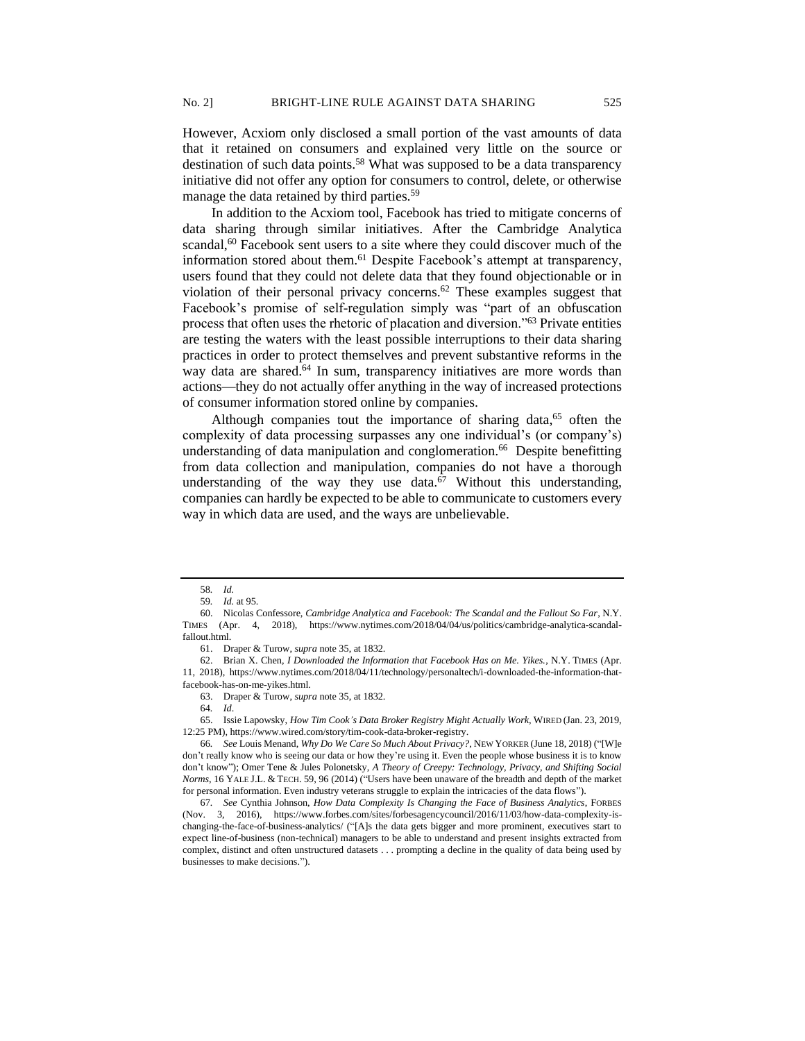However, Acxiom only disclosed a small portion of the vast amounts of data that it retained on consumers and explained very little on the source or destination of such data points.<sup>58</sup> What was supposed to be a data transparency initiative did not offer any option for consumers to control, delete, or otherwise manage the data retained by third parties.<sup>59</sup>

In addition to the Acxiom tool, Facebook has tried to mitigate concerns of data sharing through similar initiatives. After the Cambridge Analytica scandal, $60$  Facebook sent users to a site where they could discover much of the information stored about them.<sup>61</sup> Despite Facebook's attempt at transparency, users found that they could not delete data that they found objectionable or in violation of their personal privacy concerns.<sup>62</sup> These examples suggest that Facebook's promise of self-regulation simply was "part of an obfuscation process that often uses the rhetoric of placation and diversion."<sup>63</sup> Private entities are testing the waters with the least possible interruptions to their data sharing practices in order to protect themselves and prevent substantive reforms in the way data are shared.<sup>64</sup> In sum, transparency initiatives are more words than actions—they do not actually offer anything in the way of increased protections of consumer information stored online by companies.

Although companies tout the importance of sharing data, $65$  often the complexity of data processing surpasses any one individual's (or company's) understanding of data manipulation and conglomeration.<sup>66</sup> Despite benefitting from data collection and manipulation, companies do not have a thorough understanding of the way they use data.<sup>67</sup> Without this understanding, companies can hardly be expected to be able to communicate to customers every way in which data are used, and the ways are unbelievable.

65. Issie Lapowsky, *How Tim Cook's Data Broker Registry Might Actually Work*, WIRED (Jan. 23, 2019, 12:25 PM), https://www.wired.com/story/tim-cook-data-broker-registry.

<sup>58</sup>*. Id.*

<sup>59</sup>*. Id.* at 95.

<sup>60.</sup> Nicolas Confessore, *Cambridge Analytica and Facebook: The Scandal and the Fallout So Far*, N.Y. TIMES (Apr. 4, 2018), https://www.nytimes.com/2018/04/04/us/politics/cambridge-analytica-scandalfallout.html.

<sup>61.</sup> Draper & Turow, *supra* note 35, at 1832.

<sup>62.</sup> Brian X. Chen, *I Downloaded the Information that Facebook Has on Me. Yikes.*, N.Y. TIMES (Apr. 11, 2018), https://www.nytimes.com/2018/04/11/technology/personaltech/i-downloaded-the-information-thatfacebook-has-on-me-yikes.html.

<sup>63.</sup> Draper & Turow, *supra* note 35, at 1832.

<sup>64</sup>*. Id*.

<sup>66</sup>*. See* Louis Menand, *Why Do We Care So Much About Privacy?*, NEW YORKER (June 18, 2018) ("[W]e don't really know who is seeing our data or how they're using it. Even the people whose business it is to know don't know"); Omer Tene & Jules Polonetsky, *A Theory of Creepy: Technology, Privacy, and Shifting Social Norms*, 16 YALE J.L. & TECH. 59, 96 (2014) ("Users have been unaware of the breadth and depth of the market for personal information. Even industry veterans struggle to explain the intricacies of the data flows").

<sup>67</sup>*. See* Cynthia Johnson, *How Data Complexity Is Changing the Face of Business Analytics*, FORBES (Nov. 3, 2016), https://www.forbes.com/sites/forbesagencycouncil/2016/11/03/how-data-complexity-ischanging-the-face-of-business-analytics/ ("[A]s the data gets bigger and more prominent, executives start to expect line-of-business (non-technical) managers to be able to understand and present insights extracted from complex, distinct and often unstructured datasets . . . prompting a decline in the quality of data being used by businesses to make decisions.").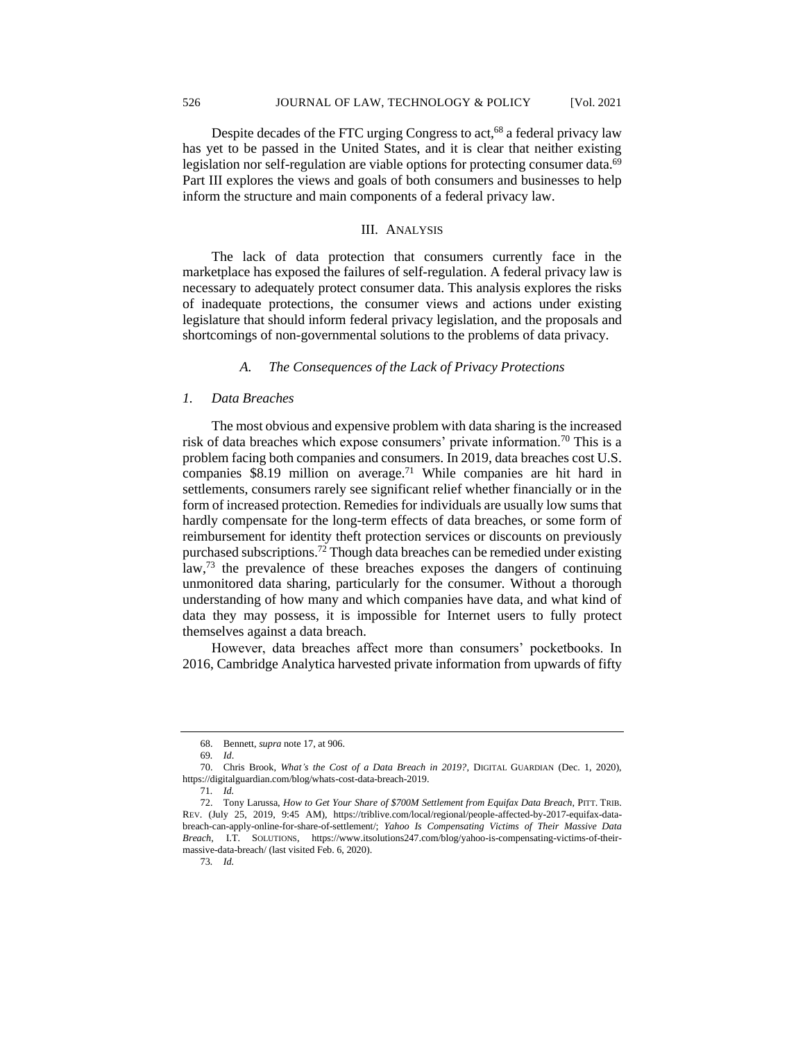Despite decades of the FTC urging Congress to act, $68$  a federal privacy law has yet to be passed in the United States, and it is clear that neither existing legislation nor self-regulation are viable options for protecting consumer data.<sup>69</sup> Part III explores the views and goals of both consumers and businesses to help inform the structure and main components of a federal privacy law.

# III. ANALYSIS

The lack of data protection that consumers currently face in the marketplace has exposed the failures of self-regulation. A federal privacy law is necessary to adequately protect consumer data. This analysis explores the risks of inadequate protections, the consumer views and actions under existing legislature that should inform federal privacy legislation, and the proposals and shortcomings of non-governmental solutions to the problems of data privacy.

# *A. The Consequences of the Lack of Privacy Protections*

## *1. Data Breaches*

The most obvious and expensive problem with data sharing is the increased risk of data breaches which expose consumers' private information.<sup>70</sup> This is a problem facing both companies and consumers. In 2019, data breaches cost U.S. companies  $$8.19$  million on average.<sup>71</sup> While companies are hit hard in settlements, consumers rarely see significant relief whether financially or in the form of increased protection. Remedies for individuals are usually low sums that hardly compensate for the long-term effects of data breaches, or some form of reimbursement for identity theft protection services or discounts on previously purchased subscriptions.<sup>72</sup> Though data breaches can be remedied under existing law,<sup>73</sup> the prevalence of these breaches exposes the dangers of continuing unmonitored data sharing, particularly for the consumer. Without a thorough understanding of how many and which companies have data, and what kind of data they may possess, it is impossible for Internet users to fully protect themselves against a data breach.

However, data breaches affect more than consumers' pocketbooks. In 2016, Cambridge Analytica harvested private information from upwards of fifty

<sup>68.</sup> Bennett, *supra* note 17, at 906.

<sup>69</sup>*. Id*.

<sup>70.</sup> Chris Brook, *What's the Cost of a Data Breach in 2019?*, DIGITAL GUARDIAN (Dec. 1, 2020), https://digitalguardian.com/blog/whats-cost-data-breach-2019.

<sup>71</sup>*. Id.* 

<sup>72.</sup> Tony Larussa, *How to Get Your Share of \$700M Settlement from Equifax Data Breach*, PITT. TRIB. REV. (July 25, 2019, 9:45 AM), https://triblive.com/local/regional/people-affected-by-2017-equifax-databreach-can-apply-online-for-share-of-settlement/; *Yahoo Is Compensating Victims of Their Massive Data Breach*, I.T. SOLUTIONS, https://www.itsolutions247.com/blog/yahoo-is-compensating-victims-of-theirmassive-data-breach/ (last visited Feb. 6, 2020).

<sup>73</sup>*. Id.*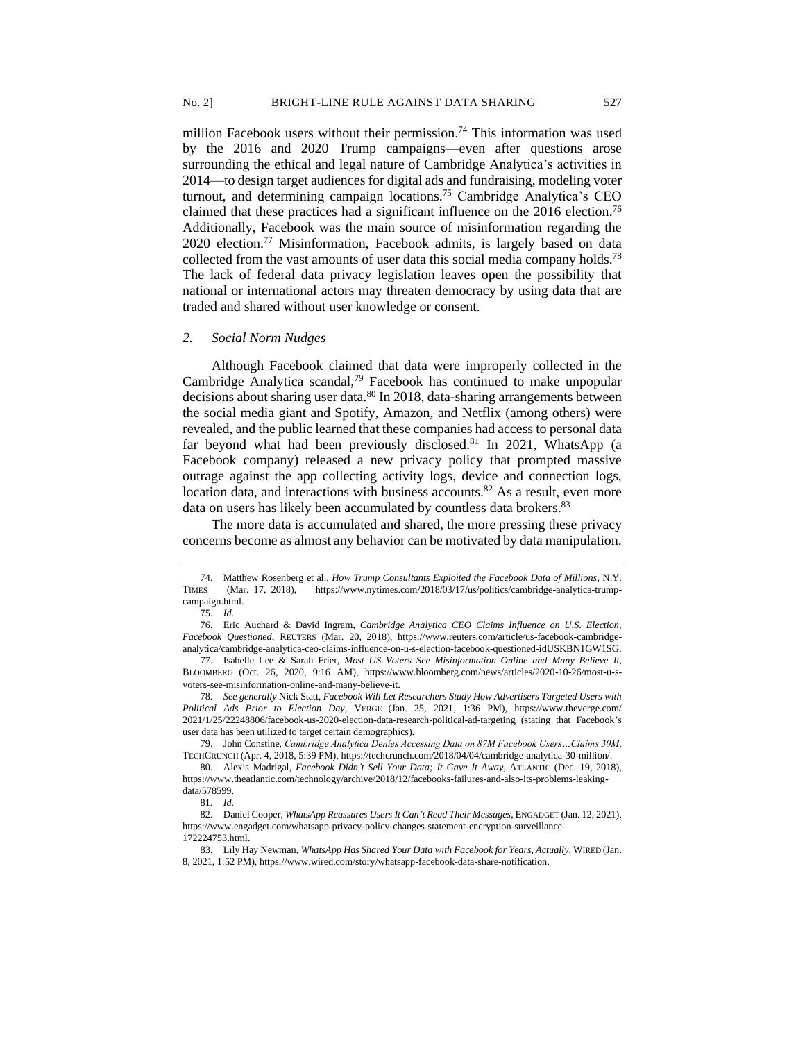million Facebook users without their permission.<sup>74</sup> This information was used by the 2016 and 2020 Trump campaigns––even after questions arose surrounding the ethical and legal nature of Cambridge Analytica's activities in 2014—to design target audiences for digital ads and fundraising, modeling voter turnout, and determining campaign locations.<sup>75</sup> Cambridge Analytica's CEO claimed that these practices had a significant influence on the 2016 election. 76 Additionally, Facebook was the main source of misinformation regarding the 2020 election.<sup>77</sup> Misinformation, Facebook admits, is largely based on data collected from the vast amounts of user data this social media company holds.<sup>78</sup> The lack of federal data privacy legislation leaves open the possibility that national or international actors may threaten democracy by using data that are traded and shared without user knowledge or consent.

#### *2. Social Norm Nudges*

Although Facebook claimed that data were improperly collected in the Cambridge Analytica scandal,<sup>79</sup> Facebook has continued to make unpopular decisions about sharing user data.<sup>80</sup> In 2018, data-sharing arrangements between the social media giant and Spotify, Amazon, and Netflix (among others) were revealed, and the public learned that these companies had access to personal data far beyond what had been previously disclosed.<sup>81</sup> In 2021, WhatsApp (a Facebook company) released a new privacy policy that prompted massive outrage against the app collecting activity logs, device and connection logs, location data, and interactions with business accounts.<sup>82</sup> As a result, even more data on users has likely been accumulated by countless data brokers.<sup>83</sup>

The more data is accumulated and shared, the more pressing these privacy concerns become as almost any behavior can be motivated by data manipulation.

<sup>74.</sup> Matthew Rosenberg et al., *How Trump Consultants Exploited the Facebook Data of Millions*, N.Y. TIMES (Mar. 17, 2018), https://www.nytimes.com/2018/03/17/us/politics/cambridge-analytica-trumpcampaign.html.

<sup>75</sup>*. Id.*

<sup>76.</sup> Eric Auchard & David Ingram, *Cambridge Analytica CEO Claims Influence on U.S. Election, Facebook Questioned*, REUTERS (Mar. 20, 2018), https://www.reuters.com/article/us-facebook-cambridgeanalytica/cambridge-analytica-ceo-claims-influence-on-u-s-election-facebook-questioned-idUSKBN1GW1SG.

<sup>77.</sup> Isabelle Lee & Sarah Frier, *Most US Voters See Misinformation Online and Many Believe It*, BLOOMBERG (Oct. 26, 2020, 9:16 AM), https://www.bloomberg.com/news/articles/2020-10-26/most-u-svoters-see-misinformation-online-and-many-believe-it.

<sup>78</sup>*. See generally* Nick Statt, *Facebook Will Let Researchers Study How Advertisers Targeted Users with Political Ads Prior to Election Day*, VERGE (Jan. 25, 2021, 1:36 PM), https://www.theverge.com/ 2021/1/25/22248806/facebook-us-2020-election-data-research-political-ad-targeting (stating that Facebook's user data has been utilized to target certain demographics).

<sup>79.</sup> John Constine, *Cambridge Analytica Denies Accessing Data on 87M Facebook Users…Claims 30M*, TECHCRUNCH (Apr. 4, 2018, 5:39 PM), https://techcrunch.com/2018/04/04/cambridge-analytica-30-million/.

<sup>80.</sup> Alexis Madrigal, *Facebook Didn't Sell Your Data; It Gave It Away*, ATLANTIC (Dec. 19, 2018), https://www.theatlantic.com/technology/archive/2018/12/facebooks-failures-and-also-its-problems-leakingdata/578599.

<sup>81</sup>*. Id.* 

<sup>82.</sup> Daniel Cooper, *WhatsApp Reassures Users It Can't Read Their Messages*, ENGADGET (Jan. 12, 2021), https://www.engadget.com/whatsapp-privacy-policy-changes-statement-encryption-surveillance-172224753.html.

<sup>83.</sup> Lily Hay Newman, *WhatsApp Has Shared Your Data with Facebook for Years, Actually*, WIRED (Jan. 8, 2021, 1:52 PM), https://www.wired.com/story/whatsapp-facebook-data-share-notification.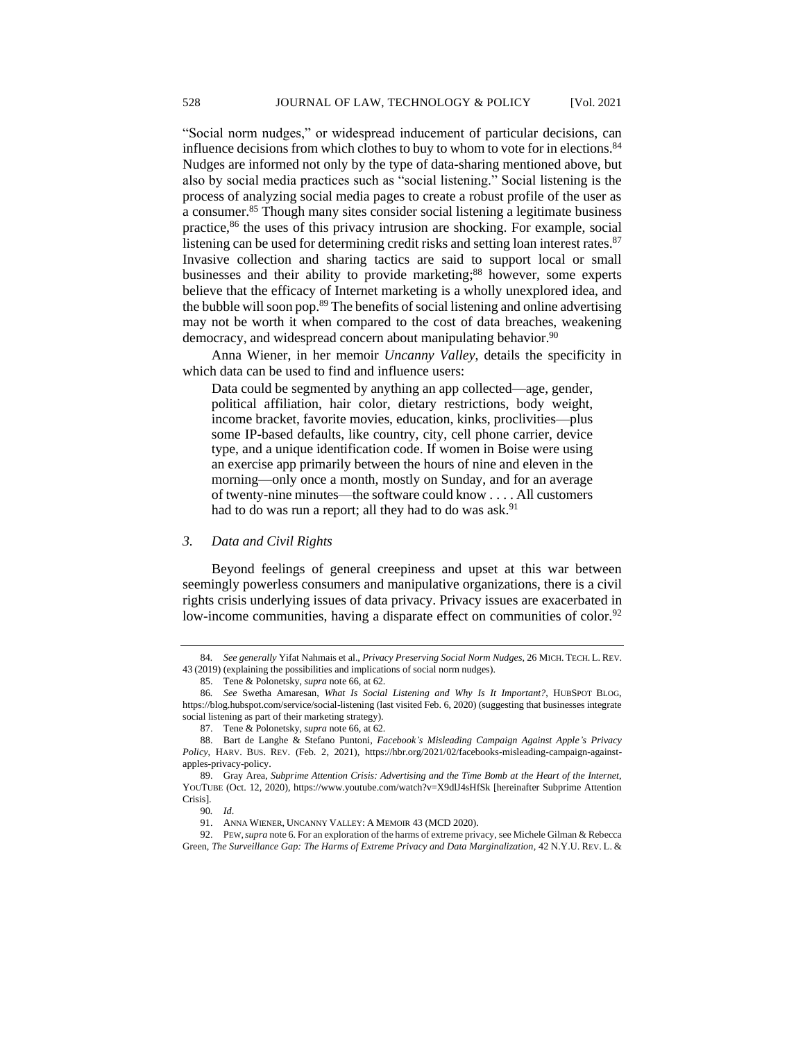"Social norm nudges," or widespread inducement of particular decisions, can influence decisions from which clothes to buy to whom to vote for in elections.<sup>84</sup> Nudges are informed not only by the type of data-sharing mentioned above, but also by social media practices such as "social listening." Social listening is the process of analyzing social media pages to create a robust profile of the user as a consumer.<sup>85</sup> Though many sites consider social listening a legitimate business practice,<sup>86</sup> the uses of this privacy intrusion are shocking. For example, social listening can be used for determining credit risks and setting loan interest rates.<sup>87</sup> Invasive collection and sharing tactics are said to support local or small businesses and their ability to provide marketing; <sup>88</sup> however, some experts believe that the efficacy of Internet marketing is a wholly unexplored idea, and the bubble will soon pop.<sup>89</sup> The benefits of social listening and online advertising may not be worth it when compared to the cost of data breaches, weakening democracy, and widespread concern about manipulating behavior.<sup>90</sup>

Anna Wiener, in her memoir *Uncanny Valley*, details the specificity in which data can be used to find and influence users:

Data could be segmented by anything an app collected—age, gender, political affiliation, hair color, dietary restrictions, body weight, income bracket, favorite movies, education, kinks, proclivities—plus some IP-based defaults, like country, city, cell phone carrier, device type, and a unique identification code. If women in Boise were using an exercise app primarily between the hours of nine and eleven in the morning—only once a month, mostly on Sunday, and for an average of twenty-nine minutes—the software could know . . . . All customers had to do was run a report; all they had to do was ask.<sup>91</sup>

# *3. Data and Civil Rights*

Beyond feelings of general creepiness and upset at this war between seemingly powerless consumers and manipulative organizations, there is a civil rights crisis underlying issues of data privacy. Privacy issues are exacerbated in low-income communities, having a disparate effect on communities of color.<sup>92</sup>

92. PEW,*supra* note 6. For an exploration of the harms of extreme privacy,see Michele Gilman & Rebecca Green, *The Surveillance Gap: The Harms of Extreme Privacy and Data Marginalization*, 42 N.Y.U. REV. L. &

<sup>84</sup>*. See generally* Yifat Nahmais et al., *Privacy Preserving Social Norm Nudges*, 26 MICH. TECH. L. REV. 43 (2019) (explaining the possibilities and implications of social norm nudges).

<sup>85.</sup> Tene & Polonetsky, *supra* note 66, at 62.

<sup>86</sup>*. See* Swetha Amaresan, *What Is Social Listening and Why Is It Important?*, HUBSPOT BLOG, https://blog.hubspot.com/service/social-listening (last visited Feb. 6, 2020) (suggesting that businesses integrate social listening as part of their marketing strategy).

<sup>87.</sup> Tene & Polonetsky, *supra* note 66, at 62.

<sup>88.</sup> Bart de Langhe & Stefano Puntoni, *Facebook's Misleading Campaign Against Apple's Privacy Policy*, HARV. BUS. REV. (Feb. 2, 2021), https://hbr.org/2021/02/facebooks-misleading-campaign-againstapples-privacy-policy.

<sup>89.</sup> Gray Area, *Subprime Attention Crisis: Advertising and the Time Bomb at the Heart of the Internet*, YOUTUBE (Oct. 12, 2020), https://www.youtube.com/watch?v=X9dlJ4sHfSk [hereinafter Subprime Attention Crisis].

<sup>90</sup>*. Id*.

<sup>91.</sup> ANNA WIENER, UNCANNY VALLEY: A MEMOIR 43 (MCD 2020).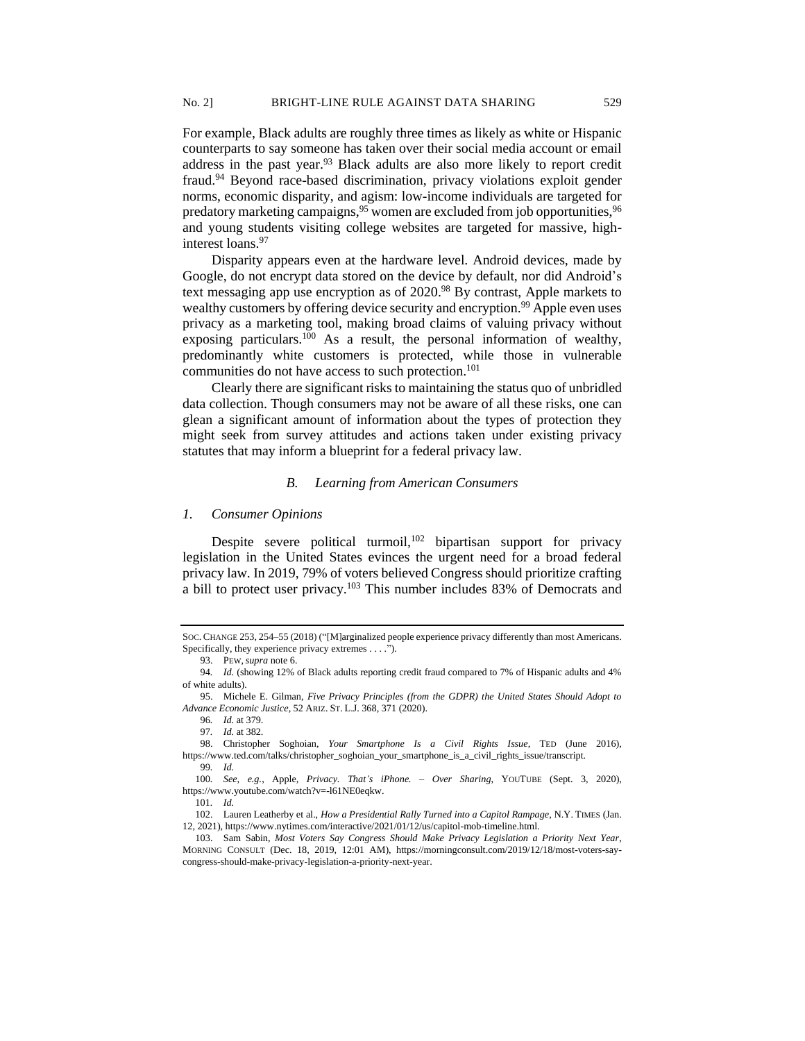For example, Black adults are roughly three times as likely as white or Hispanic counterparts to say someone has taken over their social media account or email address in the past year.<sup>93</sup> Black adults are also more likely to report credit fraud.<sup>94</sup> Beyond race-based discrimination, privacy violations exploit gender norms, economic disparity, and agism: low-income individuals are targeted for predatory marketing campaigns,<sup>95</sup> women are excluded from job opportunities,<sup>96</sup> and young students visiting college websites are targeted for massive, highinterest loans.<sup>97</sup>

Disparity appears even at the hardware level. Android devices, made by Google, do not encrypt data stored on the device by default, nor did Android's text messaging app use encryption as of 2020. <sup>98</sup> By contrast, Apple markets to wealthy customers by offering device security and encryption.<sup>99</sup> Apple even uses privacy as a marketing tool, making broad claims of valuing privacy without exposing particulars.<sup>100</sup> As a result, the personal information of wealthy, predominantly white customers is protected, while those in vulnerable communities do not have access to such protection.<sup>101</sup>

Clearly there are significant risks to maintaining the status quo of unbridled data collection. Though consumers may not be aware of all these risks, one can glean a significant amount of information about the types of protection they might seek from survey attitudes and actions taken under existing privacy statutes that may inform a blueprint for a federal privacy law.

### *B. Learning from American Consumers*

#### *1. Consumer Opinions*

Despite severe political turmoil,<sup>102</sup> bipartisan support for privacy legislation in the United States evinces the urgent need for a broad federal privacy law. In 2019, 79% of voters believed Congress should prioritize crafting a bill to protect user privacy.<sup>103</sup> This number includes 83% of Democrats and

SOC. CHANGE 253, 254–55 (2018) ("[M]arginalized people experience privacy differently than most Americans. Specifically, they experience privacy extremes . . . .").

<sup>93.</sup> PEW,*supra* note 6.

<sup>94</sup>*. Id.* (showing 12% of Black adults reporting credit fraud compared to 7% of Hispanic adults and 4% of white adults).

<sup>95.</sup> Michele E. Gilman, *Five Privacy Principles (from the GDPR) the United States Should Adopt to Advance Economic Justice*, 52 ARIZ. ST. L.J. 368, 371 (2020).

<sup>96</sup>*. Id.* at 379.

<sup>97</sup>*. Id.* at 382.

<sup>98.</sup> Christopher Soghoian, *Your Smartphone Is a Civil Rights Issue*, TED (June 2016), https://www.ted.com/talks/christopher\_soghoian\_your\_smartphone\_is\_a\_civil\_rights\_issue/transcript. 99*. Id.*

<sup>100</sup>*. See, e.g.*, Apple, *Privacy. That's iPhone. – Over Sharing*, YOUTUBE (Sept. 3, 2020), https://www.youtube.com/watch?v=-l61NE0eqkw.

<sup>101</sup>*. Id.*

<sup>102.</sup> Lauren Leatherby et al., *How a Presidential Rally Turned into a Capitol Rampage*, N.Y. TIMES (Jan. 12, 2021), https://www.nytimes.com/interactive/2021/01/12/us/capitol-mob-timeline.html.

<sup>103.</sup> Sam Sabin, *Most Voters Say Congress Should Make Privacy Legislation a Priority Next Year*, MORNING CONSULT (Dec. 18, 2019, 12:01 AM), https://morningconsult.com/2019/12/18/most-voters-saycongress-should-make-privacy-legislation-a-priority-next-year.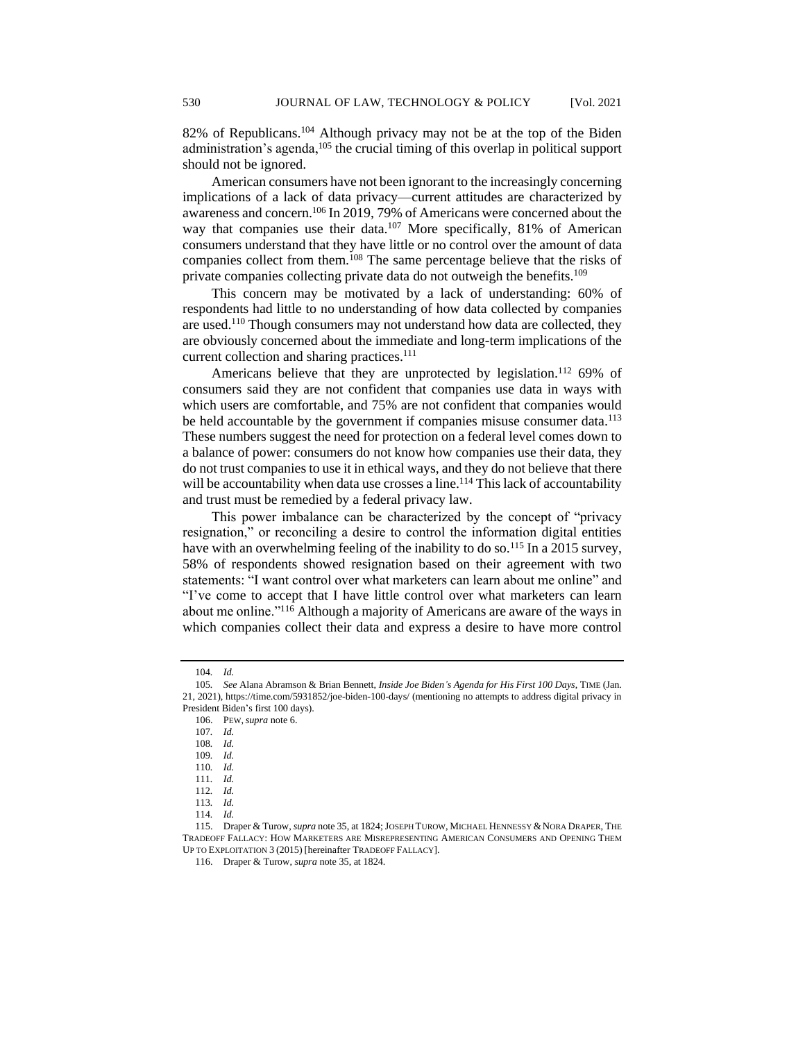82% of Republicans.<sup>104</sup> Although privacy may not be at the top of the Biden administration's agenda,<sup>105</sup> the crucial timing of this overlap in political support should not be ignored.

American consumers have not been ignorant to the increasingly concerning implications of a lack of data privacy—current attitudes are characterized by awareness and concern.<sup>106</sup> In 2019, 79% of Americans were concerned about the way that companies use their data.<sup>107</sup> More specifically, 81% of American consumers understand that they have little or no control over the amount of data companies collect from them.<sup>108</sup> The same percentage believe that the risks of private companies collecting private data do not outweigh the benefits.<sup>109</sup>

This concern may be motivated by a lack of understanding: 60% of respondents had little to no understanding of how data collected by companies are used.<sup>110</sup> Though consumers may not understand how data are collected, they are obviously concerned about the immediate and long-term implications of the current collection and sharing practices.<sup>111</sup>

Americans believe that they are unprotected by legislation.<sup>112</sup> 69% of consumers said they are not confident that companies use data in ways with which users are comfortable, and 75% are not confident that companies would be held accountable by the government if companies misuse consumer data.<sup>113</sup> These numbers suggest the need for protection on a federal level comes down to a balance of power: consumers do not know how companies use their data, they do not trust companies to use it in ethical ways, and they do not believe that there will be accountability when data use crosses a line.<sup>114</sup> This lack of accountability and trust must be remedied by a federal privacy law.

This power imbalance can be characterized by the concept of "privacy resignation," or reconciling a desire to control the information digital entities have with an overwhelming feeling of the inability to do so.<sup>115</sup> In a 2015 survey, 58% of respondents showed resignation based on their agreement with two statements: "I want control over what marketers can learn about me online" and "I've come to accept that I have little control over what marketers can learn about me online."<sup>116</sup> Although a majority of Americans are aware of the ways in which companies collect their data and express a desire to have more control

<sup>104</sup>*. Id.*

<sup>105</sup>*. See* Alana Abramson & Brian Bennett, *Inside Joe Biden's Agenda for His First 100 Days*, TIME (Jan. 21, 2021), https://time.com/5931852/joe-biden-100-days/ (mentioning no attempts to address digital privacy in President Biden's first 100 days).

<sup>106.</sup> PEW,*supra* note 6.

<sup>107</sup>*. Id.*

<sup>108</sup>*. Id.*

<sup>109</sup>*. Id.*

<sup>110</sup>*. Id.*

<sup>111</sup>*. Id.*

<sup>112</sup>*. Id.*

<sup>113</sup>*. Id.*

<sup>114</sup>*. Id.*

<sup>115.</sup> Draper & Turow, *supra* note 35, at 1824; JOSEPH TUROW, MICHAEL HENNESSY &NORA DRAPER, THE TRADEOFF FALLACY: HOW MARKETERS ARE MISREPRESENTING AMERICAN CONSUMERS AND OPENING THEM UP TO EXPLOITATION 3 (2015) [hereinafter TRADEOFF FALLACY].

<sup>116.</sup> Draper & Turow, *supra* note 35, at 1824.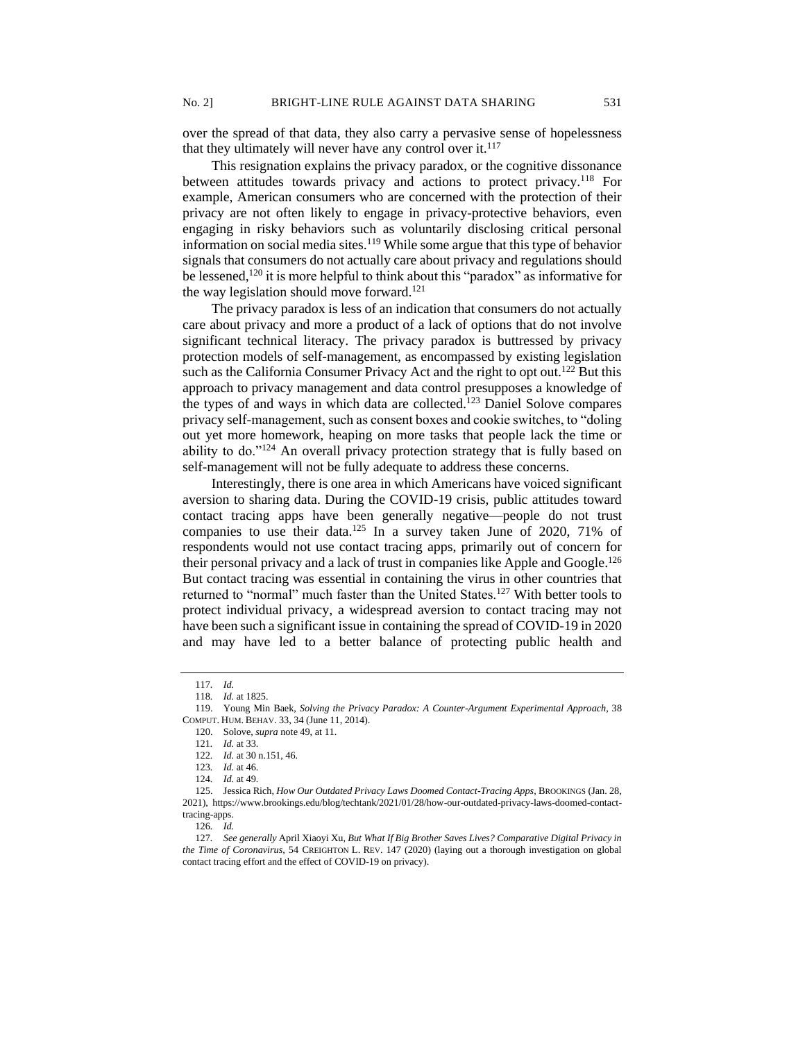over the spread of that data, they also carry a pervasive sense of hopelessness that they ultimately will never have any control over it. $117$ 

This resignation explains the privacy paradox, or the cognitive dissonance between attitudes towards privacy and actions to protect privacy.<sup>118</sup> For example, American consumers who are concerned with the protection of their privacy are not often likely to engage in privacy-protective behaviors, even engaging in risky behaviors such as voluntarily disclosing critical personal information on social media sites.<sup>119</sup> While some argue that this type of behavior signals that consumers do not actually care about privacy and regulations should be lessened,<sup>120</sup> it is more helpful to think about this "paradox" as informative for the way legislation should move forward.<sup>121</sup>

The privacy paradox is less of an indication that consumers do not actually care about privacy and more a product of a lack of options that do not involve significant technical literacy. The privacy paradox is buttressed by privacy protection models of self-management, as encompassed by existing legislation such as the California Consumer Privacy Act and the right to opt out.<sup>122</sup> But this approach to privacy management and data control presupposes a knowledge of the types of and ways in which data are collected.<sup>123</sup> Daniel Solove compares privacy self-management, such as consent boxes and cookie switches, to "doling out yet more homework, heaping on more tasks that people lack the time or ability to do."<sup>124</sup> An overall privacy protection strategy that is fully based on self-management will not be fully adequate to address these concerns.

Interestingly, there is one area in which Americans have voiced significant aversion to sharing data. During the COVID-19 crisis, public attitudes toward contact tracing apps have been generally negative—people do not trust companies to use their data.<sup>125</sup> In a survey taken June of 2020, 71% of respondents would not use contact tracing apps, primarily out of concern for their personal privacy and a lack of trust in companies like Apple and Google.<sup>126</sup> But contact tracing was essential in containing the virus in other countries that returned to "normal" much faster than the United States.<sup>127</sup> With better tools to protect individual privacy, a widespread aversion to contact tracing may not have been such a significant issue in containing the spread of COVID-19 in 2020 and may have led to a better balance of protecting public health and

125. Jessica Rich, *How Our Outdated Privacy Laws Doomed Contact-Tracing Apps*, BROOKINGS (Jan. 28, 2021), https://www.brookings.edu/blog/techtank/2021/01/28/how-our-outdated-privacy-laws-doomed-contacttracing-apps.

126*. Id.*

127*. See generally* April Xiaoyi Xu, *But What If Big Brother Saves Lives? Comparative Digital Privacy in the Time of Coronavirus*, 54 CREIGHTON L. REV. 147 (2020) (laying out a thorough investigation on global contact tracing effort and the effect of COVID-19 on privacy).

<sup>117</sup>*. Id.*

<sup>118</sup>*. Id.* at 1825.

<sup>119.</sup> Young Min Baek, *Solving the Privacy Paradox: A Counter-Argument Experimental Approach*, 38 COMPUT. HUM. BEHAV. 33, 34 (June 11, 2014).

<sup>120.</sup> Solove, *supra* note 49, at 11.

<sup>121</sup>*. Id.* at 33.

<sup>122</sup>*. Id.* at 30 n.151, 46.

<sup>123</sup>*. Id.* at 46.

<sup>124</sup>*. Id.* at 49.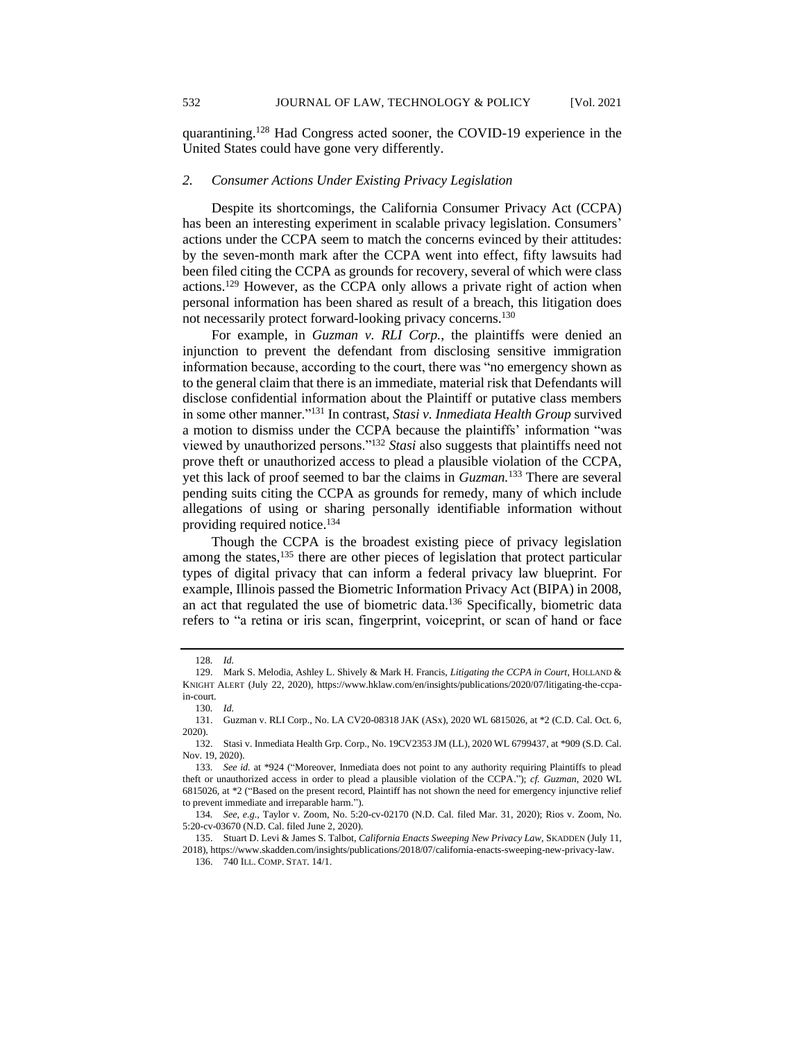quarantining.<sup>128</sup> Had Congress acted sooner, the COVID-19 experience in the United States could have gone very differently.

## *2. Consumer Actions Under Existing Privacy Legislation*

Despite its shortcomings, the California Consumer Privacy Act (CCPA) has been an interesting experiment in scalable privacy legislation. Consumers' actions under the CCPA seem to match the concerns evinced by their attitudes: by the seven-month mark after the CCPA went into effect, fifty lawsuits had been filed citing the CCPA as grounds for recovery, several of which were class actions.<sup>129</sup> However, as the CCPA only allows a private right of action when personal information has been shared as result of a breach, this litigation does not necessarily protect forward-looking privacy concerns.<sup>130</sup>

For example, in *Guzman v. RLI Corp.*, the plaintiffs were denied an injunction to prevent the defendant from disclosing sensitive immigration information because, according to the court, there was "no emergency shown as to the general claim that there is an immediate, material risk that Defendants will disclose confidential information about the Plaintiff or putative class members in some other manner."<sup>131</sup> In contrast, *Stasi v. Inmediata Health Group* survived a motion to dismiss under the CCPA because the plaintiffs' information "was viewed by unauthorized persons."<sup>132</sup> *Stasi* also suggests that plaintiffs need not prove theft or unauthorized access to plead a plausible violation of the CCPA, yet this lack of proof seemed to bar the claims in *Guzman.*<sup>133</sup> There are several pending suits citing the CCPA as grounds for remedy, many of which include allegations of using or sharing personally identifiable information without providing required notice.<sup>134</sup>

Though the CCPA is the broadest existing piece of privacy legislation among the states,<sup>135</sup> there are other pieces of legislation that protect particular types of digital privacy that can inform a federal privacy law blueprint. For example, Illinois passed the Biometric Information Privacy Act (BIPA) in 2008, an act that regulated the use of biometric data.<sup>136</sup> Specifically, biometric data refers to "a retina or iris scan, fingerprint, voiceprint, or scan of hand or face

<sup>128</sup>*. Id.* 

<sup>129.</sup> Mark S. Melodia, Ashley L. Shively & Mark H. Francis, *Litigating the CCPA in Court*, HOLLAND & KNIGHT ALERT (July 22, 2020), https://www.hklaw.com/en/insights/publications/2020/07/litigating-the-ccpain-court.

<sup>130</sup>*. Id.* 

<sup>131.</sup> Guzman v. RLI Corp., No. LA CV20-08318 JAK (ASx), 2020 WL 6815026, at \*2 (C.D. Cal. Oct. 6, 2020).

<sup>132.</sup> Stasi v. Inmediata Health Grp. Corp., No. 19CV2353 JM (LL), 2020 WL 6799437, at \*909 (S.D. Cal. Nov. 19, 2020).

<sup>133</sup>*. See id.* at \*924 ("Moreover, Inmediata does not point to any authority requiring Plaintiffs to plead theft or unauthorized access in order to plead a plausible violation of the CCPA."); *cf. Guzman*, 2020 WL 6815026, at \*2 ("Based on the present record, Plaintiff has not shown the need for emergency injunctive relief to prevent immediate and irreparable harm.").

<sup>134</sup>*. See, e.g.,* Taylor v. Zoom, No. 5:20-cv-02170 (N.D. Cal. filed Mar. 31, 2020); Rios v. Zoom, No. 5:20-cv-03670 (N.D. Cal. filed June 2, 2020).

<sup>135.</sup> Stuart D. Levi & James S. Talbot, *California Enacts Sweeping New Privacy Law,* SKADDEN (July 11, 2018), https://www.skadden.com/insights/publications/2018/07/california-enacts-sweeping-new-privacy-law.

<sup>136.</sup> 740 ILL. COMP. STAT. 14/1.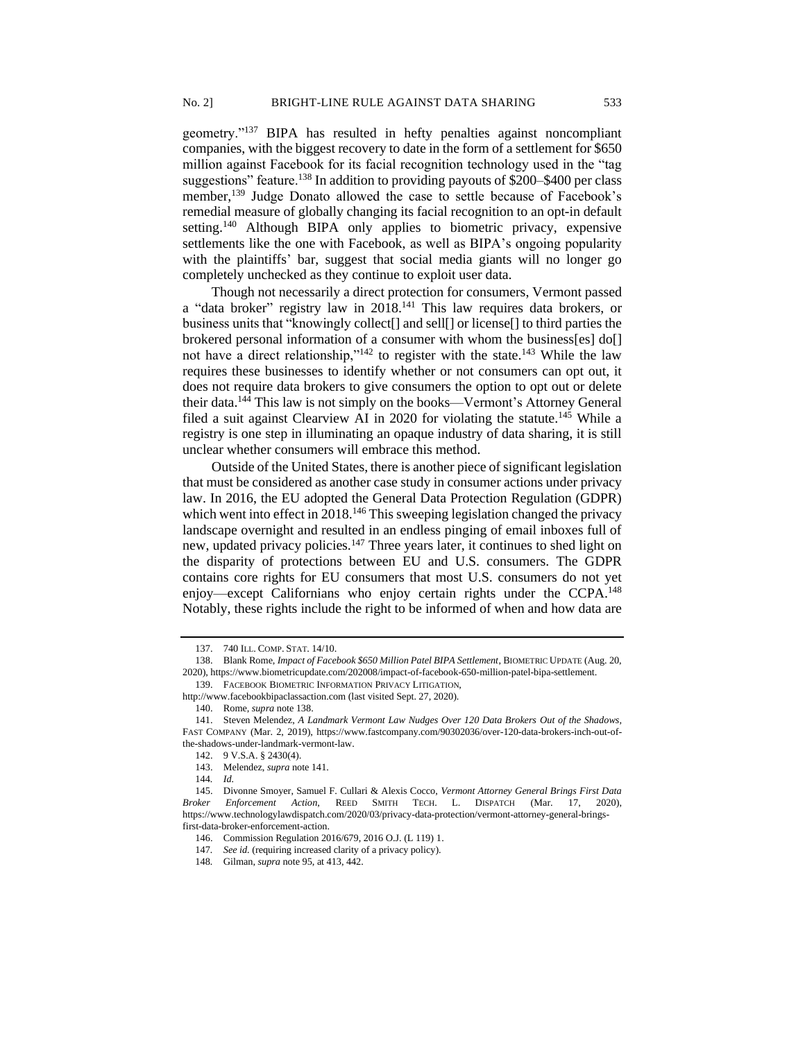geometry."<sup>137</sup> BIPA has resulted in hefty penalties against noncompliant companies, with the biggest recovery to date in the form of a settlement for \$650 million against Facebook for its facial recognition technology used in the "tag suggestions" feature.<sup>138</sup> In addition to providing payouts of \$200–\$400 per class member,<sup>139</sup> Judge Donato allowed the case to settle because of Facebook's remedial measure of globally changing its facial recognition to an opt-in default setting.<sup>140</sup> Although BIPA only applies to biometric privacy, expensive settlements like the one with Facebook, as well as BIPA's ongoing popularity with the plaintiffs' bar, suggest that social media giants will no longer go completely unchecked as they continue to exploit user data.

Though not necessarily a direct protection for consumers, Vermont passed a "data broker" registry law in 2018.<sup>141</sup> This law requires data brokers, or business units that "knowingly collect[] and sell[] or license[] to third parties the brokered personal information of a consumer with whom the business[es] do[] not have a direct relationship,"<sup>142</sup> to register with the state.<sup>143</sup> While the law requires these businesses to identify whether or not consumers can opt out, it does not require data brokers to give consumers the option to opt out or delete their data.<sup>144</sup> This law is not simply on the books—Vermont's Attorney General filed a suit against Clearview AI in 2020 for violating the statute.<sup>145</sup> While a registry is one step in illuminating an opaque industry of data sharing, it is still unclear whether consumers will embrace this method.

Outside of the United States, there is another piece of significant legislation that must be considered as another case study in consumer actions under privacy law. In 2016, the EU adopted the General Data Protection Regulation (GDPR) which went into effect in 2018.<sup>146</sup> This sweeping legislation changed the privacy landscape overnight and resulted in an endless pinging of email inboxes full of new, updated privacy policies.<sup>147</sup> Three years later, it continues to shed light on the disparity of protections between EU and U.S. consumers. The GDPR contains core rights for EU consumers that most U.S. consumers do not yet enjoy—except Californians who enjoy certain rights under the CCPA.<sup>148</sup> Notably, these rights include the right to be informed of when and how data are

<sup>137.</sup> 740 ILL. COMP. STAT. 14/10.

<sup>138.</sup> Blank Rome, *Impact of Facebook \$650 Million Patel BIPA Settlement*, BIOMETRIC UPDATE (Aug. 20, 2020), https://www.biometricupdate.com/202008/impact-of-facebook-650-million-patel-bipa-settlement. 139. FACEBOOK BIOMETRIC INFORMATION PRIVACY LITIGATION,

http://www.facebookbipaclassaction.com (last visited Sept. 27, 2020).

<sup>140.</sup> Rome, *supra* note 138.

<sup>141.</sup> Steven Melendez, *A Landmark Vermont Law Nudges Over 120 Data Brokers Out of the Shadows,* FAST COMPANY (Mar. 2, 2019), https://www.fastcompany.com/90302036/over-120-data-brokers-inch-out-ofthe-shadows-under-landmark-vermont-law.

<sup>142.</sup> 9 V.S.A. § 2430(4).

<sup>143.</sup> Melendez, *supra* note 141.

<sup>144</sup>*. Id.* 

<sup>145.</sup> Divonne Smoyer, Samuel F. Cullari & Alexis Cocco, *Vermont Attorney General Brings First Data Broker Enforcement Action*, REED SMITH TECH. L. DISPATCH (Mar. 17, 2020), https://www.technologylawdispatch.com/2020/03/privacy-data-protection/vermont-attorney-general-bringsfirst-data-broker-enforcement-action.

<sup>146.</sup> Commission Regulation 2016/679, 2016 O.J. (L 119) 1.

<sup>147</sup>*. See id.* (requiring increased clarity of a privacy policy).

<sup>148</sup>*.* Gilman, *supra* note 95, at 413, 442.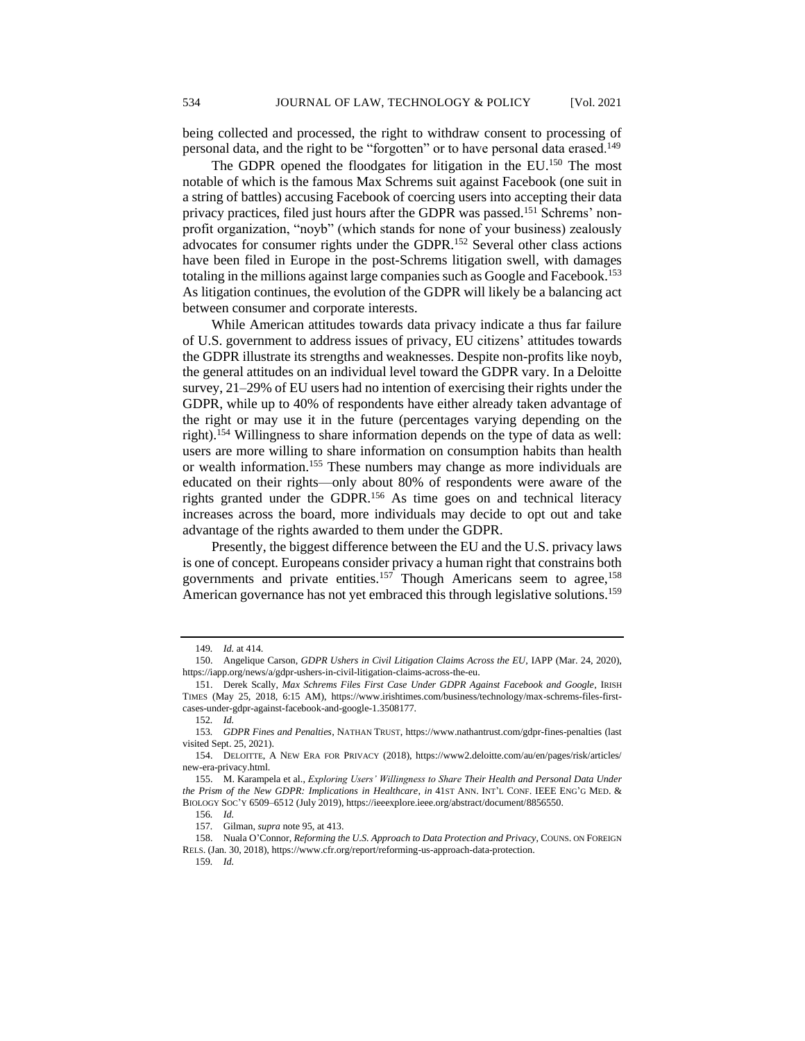being collected and processed, the right to withdraw consent to processing of personal data, and the right to be "forgotten" or to have personal data erased.<sup>149</sup>

The GDPR opened the floodgates for litigation in the EU.<sup>150</sup> The most notable of which is the famous Max Schrems suit against Facebook (one suit in a string of battles) accusing Facebook of coercing users into accepting their data privacy practices, filed just hours after the GDPR was passed.<sup>151</sup> Schrems' nonprofit organization, "noyb" (which stands for none of your business) zealously advocates for consumer rights under the GDPR.<sup>152</sup> Several other class actions have been filed in Europe in the post-Schrems litigation swell, with damages totaling in the millions against large companies such as Google and Facebook.<sup>153</sup> As litigation continues, the evolution of the GDPR will likely be a balancing act between consumer and corporate interests.

While American attitudes towards data privacy indicate a thus far failure of U.S. government to address issues of privacy, EU citizens' attitudes towards the GDPR illustrate its strengths and weaknesses. Despite non-profits like noyb, the general attitudes on an individual level toward the GDPR vary. In a Deloitte survey, 21–29% of EU users had no intention of exercising their rights under the GDPR, while up to 40% of respondents have either already taken advantage of the right or may use it in the future (percentages varying depending on the right).<sup>154</sup> Willingness to share information depends on the type of data as well: users are more willing to share information on consumption habits than health or wealth information.<sup>155</sup> These numbers may change as more individuals are educated on their rights—only about 80% of respondents were aware of the rights granted under the GDPR.<sup>156</sup> As time goes on and technical literacy increases across the board, more individuals may decide to opt out and take advantage of the rights awarded to them under the GDPR.

Presently, the biggest difference between the EU and the U.S. privacy laws is one of concept. Europeans consider privacy a human right that constrains both governments and private entities.<sup>157</sup> Though Americans seem to agree,<sup>158</sup> American governance has not yet embraced this through legislative solutions.<sup>159</sup>

<sup>149</sup>*. Id.* at 414.

<sup>150.</sup> Angelique Carson, *GDPR Ushers in Civil Litigation Claims Across the EU*, IAPP (Mar. 24, 2020), https://iapp.org/news/a/gdpr-ushers-in-civil-litigation-claims-across-the-eu.

<sup>151.</sup> Derek Scally, *Max Schrems Files First Case Under GDPR Against Facebook and Google*, IRISH TIMES (May 25, 2018, 6:15 AM), https://www.irishtimes.com/business/technology/max-schrems-files-firstcases-under-gdpr-against-facebook-and-google-1.3508177.

<sup>152</sup>*. Id.* 

<sup>153</sup>*. GDPR Fines and Penalties*, NATHAN TRUST, https://www.nathantrust.com/gdpr-fines-penalties (last visited Sept. 25, 2021).

<sup>154.</sup> DELOITTE, A NEW ERA FOR PRIVACY (2018), https://www2.deloitte.com/au/en/pages/risk/articles/ new-era-privacy.html.

<sup>155.</sup> M. Karampela et al., *Exploring Users' Willingness to Share Their Health and Personal Data Under the Prism of the New GDPR: Implications in Healthcare*, *in* 41ST ANN. INT'L CONF. IEEE ENG'G MED. & BIOLOGY SOC'Y 6509–6512 (July 2019), https://ieeexplore.ieee.org/abstract/document/8856550.

<sup>156</sup>*. Id.*

<sup>157</sup>*.* Gilman, *supra* note 95, at 413.

<sup>158.</sup> Nuala O'Connor, *Reforming the U.S. Approach to Data Protection and Privacy*, COUNS. ON FOREIGN RELS. (Jan. 30, 2018), https://www.cfr.org/report/reforming-us-approach-data-protection.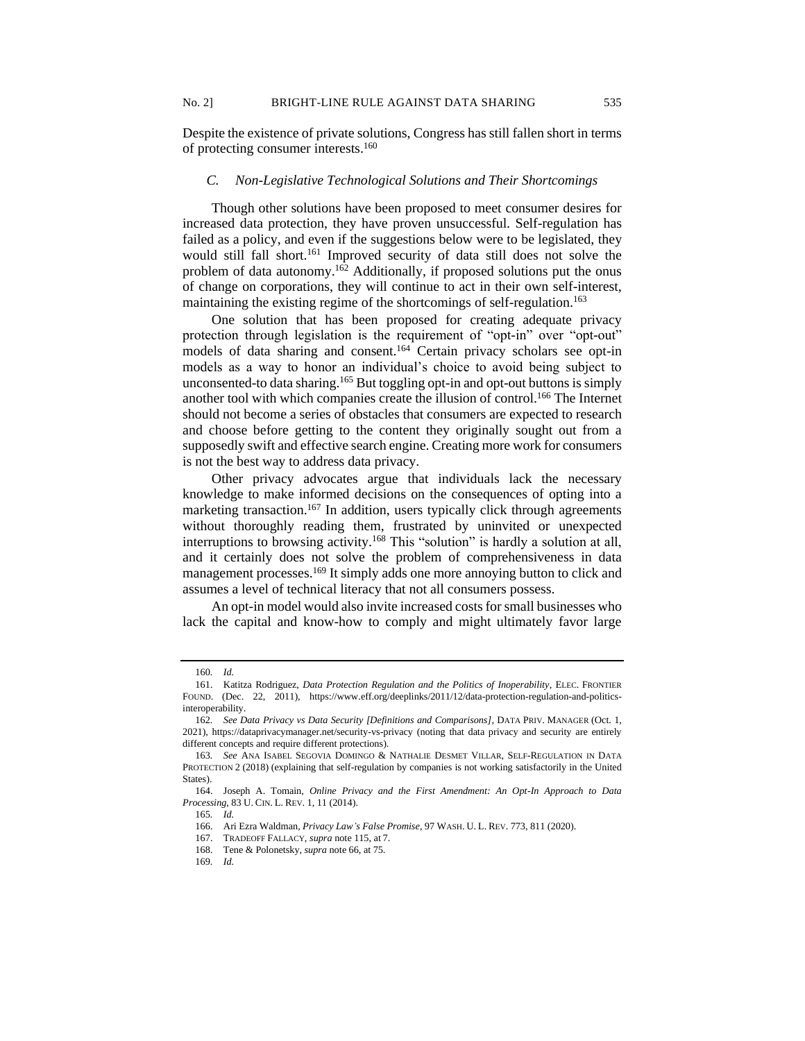Despite the existence of private solutions, Congress has still fallen short in terms of protecting consumer interests.<sup>160</sup>

## *C. Non-Legislative Technological Solutions and Their Shortcomings*

Though other solutions have been proposed to meet consumer desires for increased data protection, they have proven unsuccessful. Self-regulation has failed as a policy, and even if the suggestions below were to be legislated, they would still fall short.<sup>161</sup> Improved security of data still does not solve the problem of data autonomy.<sup>162</sup> Additionally, if proposed solutions put the onus of change on corporations, they will continue to act in their own self-interest, maintaining the existing regime of the shortcomings of self-regulation.<sup>163</sup>

One solution that has been proposed for creating adequate privacy protection through legislation is the requirement of "opt-in" over "opt-out" models of data sharing and consent.<sup>164</sup> Certain privacy scholars see opt-in models as a way to honor an individual's choice to avoid being subject to unconsented-to data sharing.<sup>165</sup> But toggling opt-in and opt-out buttons is simply another tool with which companies create the illusion of control.<sup>166</sup> The Internet should not become a series of obstacles that consumers are expected to research and choose before getting to the content they originally sought out from a supposedly swift and effective search engine. Creating more work for consumers is not the best way to address data privacy.

Other privacy advocates argue that individuals lack the necessary knowledge to make informed decisions on the consequences of opting into a marketing transaction.<sup>167</sup> In addition, users typically click through agreements without thoroughly reading them, frustrated by uninvited or unexpected interruptions to browsing activity.<sup>168</sup> This "solution" is hardly a solution at all, and it certainly does not solve the problem of comprehensiveness in data management processes.<sup>169</sup> It simply adds one more annoying button to click and assumes a level of technical literacy that not all consumers possess.

An opt-in model would also invite increased costs for small businesses who lack the capital and know-how to comply and might ultimately favor large

<sup>160</sup>*. Id.*

<sup>161.</sup> Katitza Rodriguez, *Data Protection Regulation and the Politics of Inoperability*, ELEC. FRONTIER FOUND. (Dec. 22, 2011), https://www.eff.org/deeplinks/2011/12/data-protection-regulation-and-politicsinteroperability.

<sup>162</sup>*. See Data Privacy vs Data Security [Definitions and Comparisons]*, DATA PRIV. MANAGER (Oct. 1, 2021), https://dataprivacymanager.net/security-vs-privacy (noting that data privacy and security are entirely different concepts and require different protections).

<sup>163</sup>*. See* ANA ISABEL SEGOVIA DOMINGO & NATHALIE DESMET VILLAR, SELF-REGULATION IN DATA PROTECTION 2 (2018) (explaining that self-regulation by companies is not working satisfactorily in the United States).

<sup>164.</sup> Joseph A. Tomain, *Online Privacy and the First Amendment: An Opt-In Approach to Data Processing*, 83 U. CIN. L. REV. 1, 11 (2014).

<sup>165</sup>*. Id.* 

<sup>166.</sup> Ari Ezra Waldman, *Privacy Law's False Promise*, 97 WASH. U. L. REV. 773, 811 (2020).

<sup>167.</sup> TRADEOFF FALLACY, *supra* note 115, at 7.

<sup>168.</sup> Tene & Polonetsky, *supra* note 66, at 75.

<sup>169</sup>*. Id.*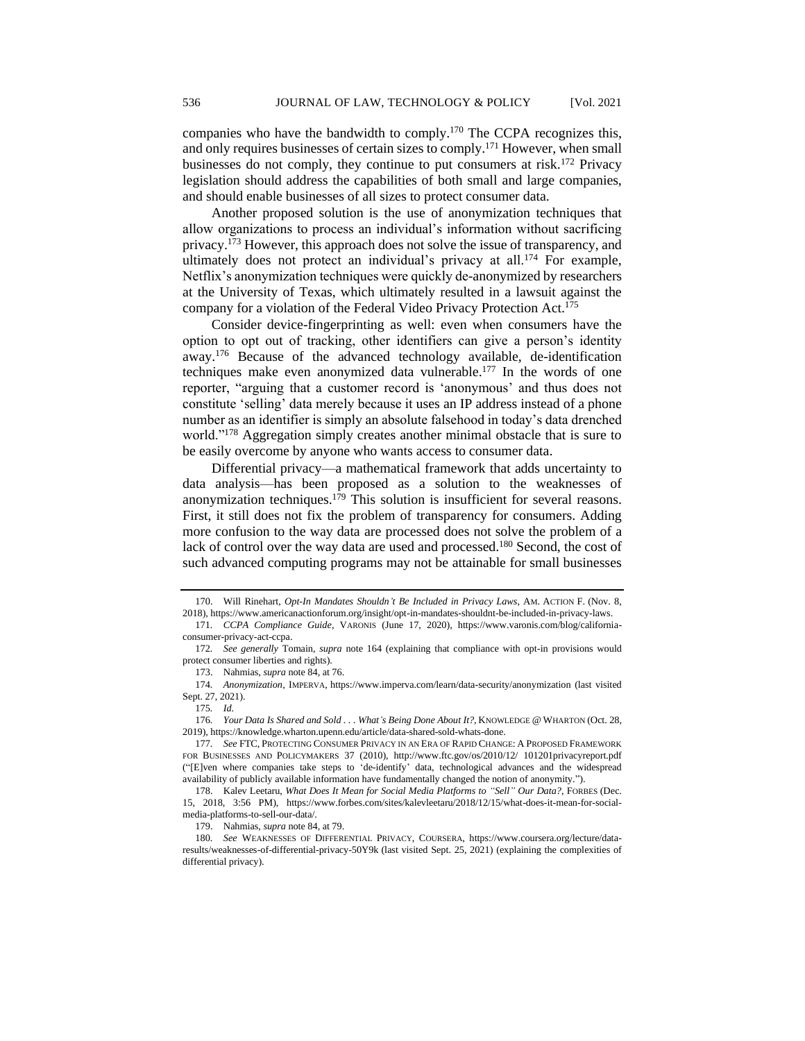companies who have the bandwidth to comply.<sup>170</sup> The CCPA recognizes this, and only requires businesses of certain sizes to comply.<sup>171</sup> However, when small businesses do not comply, they continue to put consumers at risk.<sup>172</sup> Privacy legislation should address the capabilities of both small and large companies, and should enable businesses of all sizes to protect consumer data.

Another proposed solution is the use of anonymization techniques that allow organizations to process an individual's information without sacrificing privacy.<sup>173</sup> However, this approach does not solve the issue of transparency, and ultimately does not protect an individual's privacy at all.<sup>174</sup> For example, Netflix's anonymization techniques were quickly de-anonymized by researchers at the University of Texas, which ultimately resulted in a lawsuit against the company for a violation of the Federal Video Privacy Protection Act.<sup>175</sup>

Consider device-fingerprinting as well: even when consumers have the option to opt out of tracking, other identifiers can give a person's identity away.<sup>176</sup> Because of the advanced technology available, de-identification techniques make even anonymized data vulnerable.<sup>177</sup> In the words of one reporter, "arguing that a customer record is 'anonymous' and thus does not constitute 'selling' data merely because it uses an IP address instead of a phone number as an identifier is simply an absolute falsehood in today's data drenched world."<sup>178</sup> Aggregation simply creates another minimal obstacle that is sure to be easily overcome by anyone who wants access to consumer data.

Differential privacy—a mathematical framework that adds uncertainty to data analysis—has been proposed as a solution to the weaknesses of anonymization techniques.<sup>179</sup> This solution is insufficient for several reasons. First, it still does not fix the problem of transparency for consumers. Adding more confusion to the way data are processed does not solve the problem of a lack of control over the way data are used and processed.<sup>180</sup> Second, the cost of such advanced computing programs may not be attainable for small businesses

<sup>170.</sup> Will Rinehart, *Opt-In Mandates Shouldn't Be Included in Privacy Laws*, AM. ACTION F. (Nov. 8, 2018), https://www.americanactionforum.org/insight/opt-in-mandates-shouldnt-be-included-in-privacy-laws.

<sup>171</sup>*. CCPA Compliance Guide*, VARONIS (June 17, 2020), https://www.varonis.com/blog/californiaconsumer-privacy-act-ccpa.

<sup>172</sup>*. See generally* Tomain, *supra* note 164 (explaining that compliance with opt-in provisions would protect consumer liberties and rights).

<sup>173.</sup> Nahmias, *supra* note 84, at 76.

<sup>174</sup>*. Anonymization*, IMPERVA, https://www.imperva.com/learn/data-security/anonymization (last visited Sept. 27, 2021).

<sup>175</sup>*. Id.*

<sup>176</sup>*. Your Data Is Shared and Sold . . . What's Being Done About It?,* KNOWLEDGE @ WHARTON (Oct. 28, 2019), https://knowledge.wharton.upenn.edu/article/data-shared-sold-whats-done.

<sup>177</sup>*. See* FTC, PROTECTING CONSUMER PRIVACY IN AN ERA OF RAPID CHANGE: A PROPOSED FRAMEWORK FOR BUSINESSES AND POLICYMAKERS 37 (2010), http://www.ftc.gov/os/2010/12/ 101201privacyreport.pdf ("[E]ven where companies take steps to 'de-identify' data, technological advances and the widespread availability of publicly available information have fundamentally changed the notion of anonymity.").

<sup>178.</sup> Kalev Leetaru, *What Does It Mean for Social Media Platforms to "Sell" Our Data?*, FORBES (Dec. 15, 2018, 3:56 PM), https://www.forbes.com/sites/kalevleetaru/2018/12/15/what-does-it-mean-for-socialmedia-platforms-to-sell-our-data/.

<sup>179.</sup> Nahmias, *supra* note 84, at 79.

<sup>180</sup>*. See* WEAKNESSES OF DIFFERENTIAL PRIVACY, COURSERA, https://www.coursera.org/lecture/dataresults/weaknesses-of-differential-privacy-50Y9k (last visited Sept. 25, 2021) (explaining the complexities of differential privacy).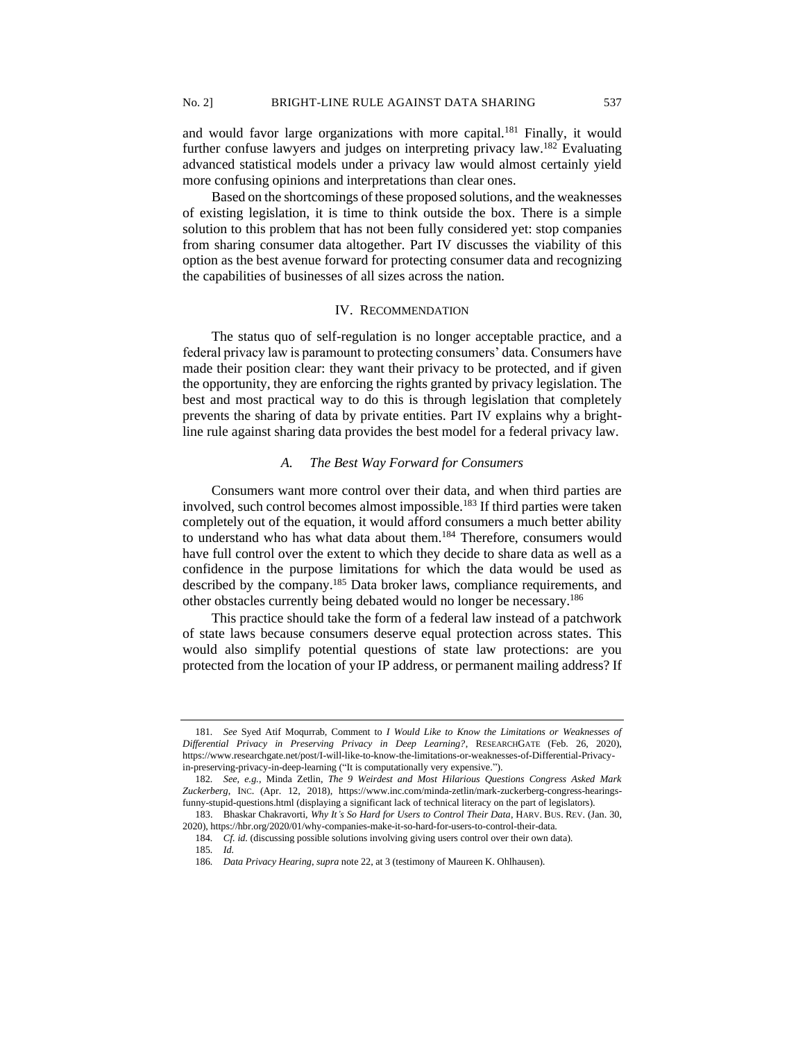and would favor large organizations with more capital.<sup>181</sup> Finally, it would further confuse lawyers and judges on interpreting privacy law.<sup>182</sup> Evaluating advanced statistical models under a privacy law would almost certainly yield more confusing opinions and interpretations than clear ones.

Based on the shortcomings of these proposed solutions, and the weaknesses of existing legislation, it is time to think outside the box. There is a simple solution to this problem that has not been fully considered yet: stop companies from sharing consumer data altogether. Part IV discusses the viability of this option as the best avenue forward for protecting consumer data and recognizing the capabilities of businesses of all sizes across the nation.

# IV. RECOMMENDATION

The status quo of self-regulation is no longer acceptable practice, and a federal privacy law is paramount to protecting consumers' data. Consumers have made their position clear: they want their privacy to be protected, and if given the opportunity, they are enforcing the rights granted by privacy legislation. The best and most practical way to do this is through legislation that completely prevents the sharing of data by private entities. Part IV explains why a brightline rule against sharing data provides the best model for a federal privacy law.

# *A. The Best Way Forward for Consumers*

Consumers want more control over their data, and when third parties are involved, such control becomes almost impossible.<sup>183</sup> If third parties were taken completely out of the equation, it would afford consumers a much better ability to understand who has what data about them.<sup>184</sup> Therefore, consumers would have full control over the extent to which they decide to share data as well as a confidence in the purpose limitations for which the data would be used as described by the company.<sup>185</sup> Data broker laws, compliance requirements, and other obstacles currently being debated would no longer be necessary.<sup>186</sup>

This practice should take the form of a federal law instead of a patchwork of state laws because consumers deserve equal protection across states. This would also simplify potential questions of state law protections: are you protected from the location of your IP address, or permanent mailing address? If

<sup>181</sup>*. See* Syed Atif Moqurrab, Comment to *I Would Like to Know the Limitations or Weaknesses of Differential Privacy in Preserving Privacy in Deep Learning?*, RESEARCHGATE (Feb. 26, 2020), https://www.researchgate.net/post/I-will-like-to-know-the-limitations-or-weaknesses-of-Differential-Privacyin-preserving-privacy-in-deep-learning ("It is computationally very expensive.").

<sup>182</sup>*. See, e.g.*, Minda Zetlin, *The 9 Weirdest and Most Hilarious Questions Congress Asked Mark Zuckerberg*, INC. (Apr. 12, 2018), https://www.inc.com/minda-zetlin/mark-zuckerberg-congress-hearingsfunny-stupid-questions.html (displaying a significant lack of technical literacy on the part of legislators).

<sup>183.</sup> Bhaskar Chakravorti, *Why It's So Hard for Users to Control Their Data*, HARV. BUS. REV. (Jan. 30, 2020), https://hbr.org/2020/01/why-companies-make-it-so-hard-for-users-to-control-their-data.

<sup>184</sup>*. Cf. id.* (discussing possible solutions involving giving users control over their own data). 185*. Id.*

<sup>186</sup>*. Data Privacy Hearing*, *supra* note 22, at 3 (testimony of Maureen K. Ohlhausen).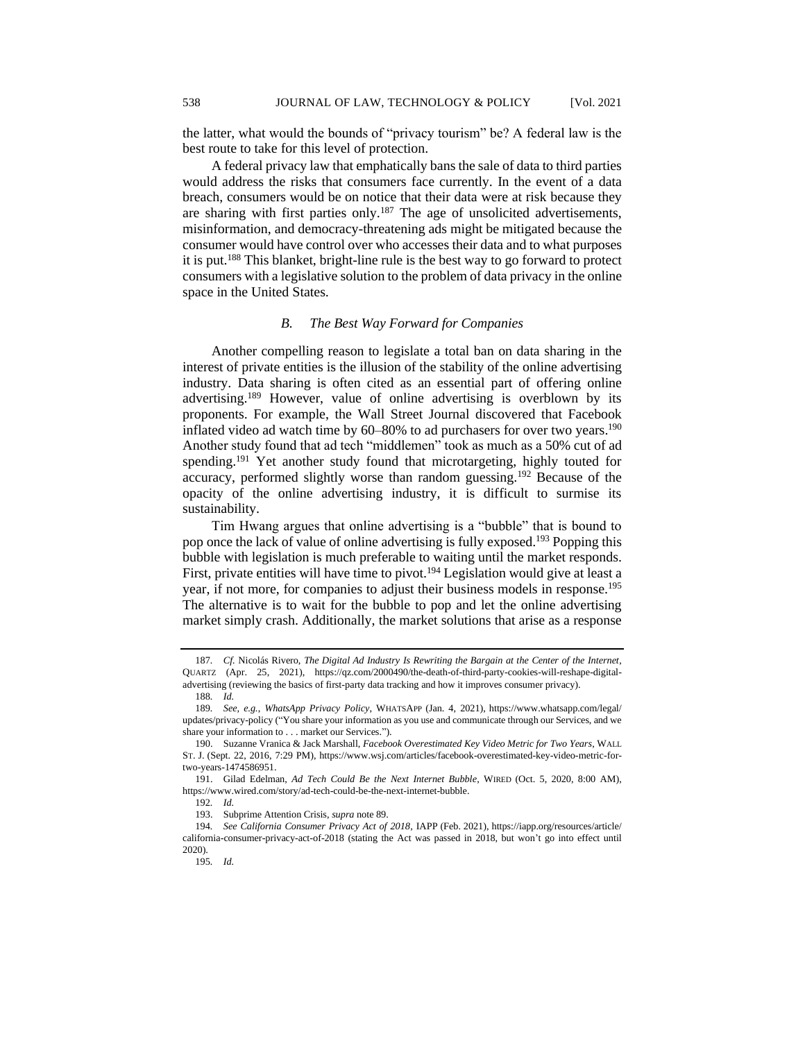the latter, what would the bounds of "privacy tourism" be? A federal law is the best route to take for this level of protection.

A federal privacy law that emphatically bans the sale of data to third parties would address the risks that consumers face currently. In the event of a data breach, consumers would be on notice that their data were at risk because they are sharing with first parties only.<sup>187</sup> The age of unsolicited advertisements, misinformation, and democracy-threatening ads might be mitigated because the consumer would have control over who accesses their data and to what purposes it is put.<sup>188</sup> This blanket, bright-line rule is the best way to go forward to protect consumers with a legislative solution to the problem of data privacy in the online space in the United States.

## *B. The Best Way Forward for Companies*

Another compelling reason to legislate a total ban on data sharing in the interest of private entities is the illusion of the stability of the online advertising industry. Data sharing is often cited as an essential part of offering online advertising.<sup>189</sup> However, value of online advertising is overblown by its proponents. For example, the Wall Street Journal discovered that Facebook inflated video ad watch time by  $60-80\%$  to ad purchasers for over two years.<sup>190</sup> Another study found that ad tech "middlemen" took as much as a 50% cut of ad spending.<sup>191</sup> Yet another study found that microtargeting, highly touted for accuracy, performed slightly worse than random guessing.<sup>192</sup> Because of the opacity of the online advertising industry, it is difficult to surmise its sustainability.

Tim Hwang argues that online advertising is a "bubble" that is bound to pop once the lack of value of online advertising is fully exposed.<sup>193</sup> Popping this bubble with legislation is much preferable to waiting until the market responds. First, private entities will have time to pivot.<sup>194</sup> Legislation would give at least a year, if not more, for companies to adjust their business models in response.<sup>195</sup> The alternative is to wait for the bubble to pop and let the online advertising market simply crash. Additionally, the market solutions that arise as a response

<sup>187</sup>*. Cf.* Nicolás Rivero, *The Digital Ad Industry Is Rewriting the Bargain at the Center of the Internet*, QUARTZ (Apr. 25, 2021), https://qz.com/2000490/the-death-of-third-party-cookies-will-reshape-digitaladvertising (reviewing the basics of first-party data tracking and how it improves consumer privacy).

<sup>188</sup>*. Id.*

<sup>189</sup>*. See, e.g.*, *WhatsApp Privacy Policy*, WHATSAPP (Jan. 4, 2021), https://www.whatsapp.com/legal/ updates/privacy-policy ("You share your information as you use and communicate through our Services, and we share your information to . . . market our Services.").

<sup>190.</sup> Suzanne Vranica & Jack Marshall, *Facebook Overestimated Key Video Metric for Two Years*, WALL ST. J. (Sept. 22, 2016, 7:29 PM), https://www.wsj.com/articles/facebook-overestimated-key-video-metric-fortwo-years-1474586951.

<sup>191.</sup> Gilad Edelman, *Ad Tech Could Be the Next Internet Bubble*, WIRED (Oct. 5, 2020, 8:00 AM), https://www.wired.com/story/ad-tech-could-be-the-next-internet-bubble.

<sup>192</sup>*. Id.*

<sup>193.</sup> Subprime Attention Crisis, *supra* note 89.

<sup>194</sup>*. See California Consumer Privacy Act of 2018*, IAPP (Feb. 2021), https://iapp.org/resources/article/ california-consumer-privacy-act-of-2018 (stating the Act was passed in 2018, but won't go into effect until 2020).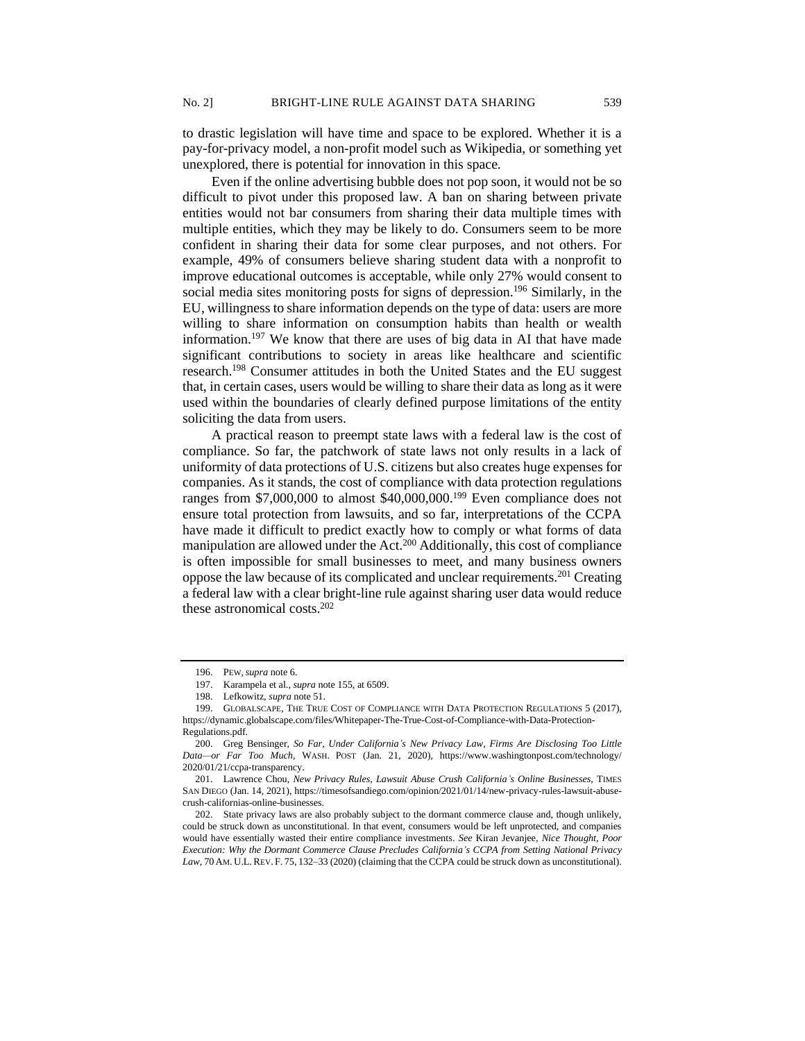to drastic legislation will have time and space to be explored. Whether it is a pay-for-privacy model, a non-profit model such as Wikipedia, or something yet unexplored, there is potential for innovation in this space.

Even if the online advertising bubble does not pop soon, it would not be so difficult to pivot under this proposed law. A ban on sharing between private entities would not bar consumers from sharing their data multiple times with multiple entities, which they may be likely to do. Consumers seem to be more confident in sharing their data for some clear purposes, and not others. For example, 49% of consumers believe sharing student data with a nonprofit to improve educational outcomes is acceptable, while only 27% would consent to social media sites monitoring posts for signs of depression.<sup>196</sup> Similarly, in the EU, willingness to share information depends on the type of data: users are more willing to share information on consumption habits than health or wealth information.<sup>197</sup> We know that there are uses of big data in AI that have made significant contributions to society in areas like healthcare and scientific research.<sup>198</sup> Consumer attitudes in both the United States and the EU suggest that, in certain cases, users would be willing to share their data as long as it were used within the boundaries of clearly defined purpose limitations of the entity soliciting the data from users.

A practical reason to preempt state laws with a federal law is the cost of compliance. So far, the patchwork of state laws not only results in a lack of uniformity of data protections of U.S. citizens but also creates huge expenses for companies. As it stands, the cost of compliance with data protection regulations ranges from \$7,000,000 to almost \$40,000,000.<sup>199</sup> Even compliance does not ensure total protection from lawsuits, and so far, interpretations of the CCPA have made it difficult to predict exactly how to comply or what forms of data manipulation are allowed under the Act.<sup>200</sup> Additionally, this cost of compliance is often impossible for small businesses to meet, and many business owners oppose the law because of its complicated and unclear requirements.<sup>201</sup> Creating a federal law with a clear bright-line rule against sharing user data would reduce these astronomical costs.<sup>202</sup>

<sup>196.</sup> PEW,*supra* note 6.

<sup>197.</sup> Karampela et al., *supra* note 155, at 6509.

<sup>198.</sup> Lefkowitz, *supra* note 51.

<sup>199.</sup> GLOBALSCAPE, THE TRUE COST OF COMPLIANCE WITH DATA PROTECTION REGULATIONS 5 (2017), https://dynamic.globalscape.com/files/Whitepaper-The-True-Cost-of-Compliance-with-Data-Protection-Regulations.pdf.

<sup>200.</sup> Greg Bensinger, *So Far, Under California's New Privacy Law, Firms Are Disclosing Too Little Data—or Far Too Much*, WASH. POST (Jan. 21, 2020), https://www.washingtonpost.com/technology/ 2020/01/21/ccpa-transparency.

<sup>201.</sup> Lawrence Chou, *New Privacy Rules, Lawsuit Abuse Crush California's Online Businesses*, TIMES SAN DIEGO (Jan. 14, 2021), https://timesofsandiego.com/opinion/2021/01/14/new-privacy-rules-lawsuit-abusecrush-californias-online-businesses.

<sup>202.</sup> State privacy laws are also probably subject to the dormant commerce clause and, though unlikely, could be struck down as unconstitutional. In that event, consumers would be left unprotected, and companies would have essentially wasted their entire compliance investments. *See* Kiran Jevanjee, *Nice Thought, Poor Execution: Why the Dormant Commerce Clause Precludes California's CCPA from Setting National Privacy*  Law, 70 AM. U.L. REV. F. 75, 132–33 (2020) (claiming that the CCPA could be struck down as unconstitutional).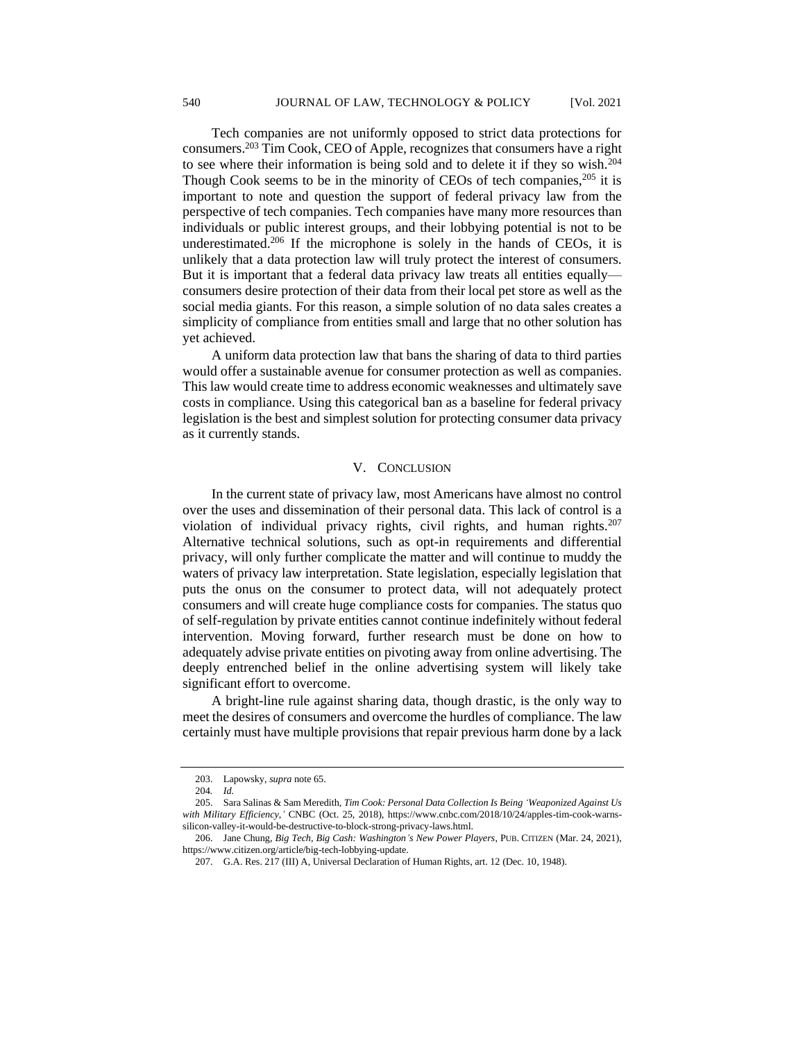Tech companies are not uniformly opposed to strict data protections for consumers.<sup>203</sup> Tim Cook, CEO of Apple, recognizes that consumers have a right to see where their information is being sold and to delete it if they so wish.<sup>204</sup> Though Cook seems to be in the minority of CEOs of tech companies,<sup>205</sup> it is important to note and question the support of federal privacy law from the perspective of tech companies. Tech companies have many more resources than individuals or public interest groups, and their lobbying potential is not to be underestimated.<sup>206</sup> If the microphone is solely in the hands of CEOs, it is unlikely that a data protection law will truly protect the interest of consumers. But it is important that a federal data privacy law treats all entities equally consumers desire protection of their data from their local pet store as well as the social media giants. For this reason, a simple solution of no data sales creates a simplicity of compliance from entities small and large that no other solution has yet achieved.

A uniform data protection law that bans the sharing of data to third parties would offer a sustainable avenue for consumer protection as well as companies. This law would create time to address economic weaknesses and ultimately save costs in compliance. Using this categorical ban as a baseline for federal privacy legislation is the best and simplest solution for protecting consumer data privacy as it currently stands.

# V. CONCLUSION

In the current state of privacy law, most Americans have almost no control over the uses and dissemination of their personal data. This lack of control is a violation of individual privacy rights, civil rights, and human rights.<sup>207</sup> Alternative technical solutions, such as opt-in requirements and differential privacy, will only further complicate the matter and will continue to muddy the waters of privacy law interpretation. State legislation, especially legislation that puts the onus on the consumer to protect data, will not adequately protect consumers and will create huge compliance costs for companies. The status quo of self-regulation by private entities cannot continue indefinitely without federal intervention. Moving forward, further research must be done on how to adequately advise private entities on pivoting away from online advertising. The deeply entrenched belief in the online advertising system will likely take significant effort to overcome.

A bright-line rule against sharing data, though drastic, is the only way to meet the desires of consumers and overcome the hurdles of compliance. The law certainly must have multiple provisions that repair previous harm done by a lack

<sup>203.</sup> Lapowsky, *supra* note 65.

<sup>204</sup>*. Id.* 

<sup>205.</sup> Sara Salinas & Sam Meredith, *Tim Cook: Personal Data Collection Is Being 'Weaponized Against Us with Military Efficiency*,*'* CNBC (Oct. 25, 2018), https://www.cnbc.com/2018/10/24/apples-tim-cook-warnssilicon-valley-it-would-be-destructive-to-block-strong-privacy-laws.html.

<sup>206.</sup> Jane Chung, *Big Tech, Big Cash: Washington's New Power Players*, PUB. CITIZEN (Mar. 24, 2021), https://www.citizen.org/article/big-tech-lobbying-update.

<sup>207.</sup> G.A. Res. 217 (III) A, Universal Declaration of Human Rights, art. 12 (Dec. 10, 1948).